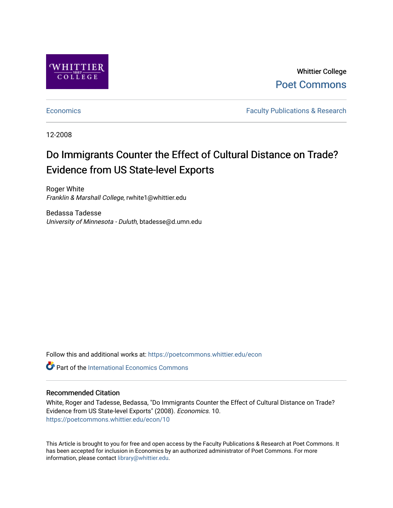

Whittier College [Poet Commons](https://poetcommons.whittier.edu/) 

[Economics](https://poetcommons.whittier.edu/econ) **Faculty Publications & Research** 

12-2008

# Do Immigrants Counter the Effect of Cultural Distance on Trade? Evidence from US State-level Exports

Roger White Franklin & Marshall College, rwhite1@whittier.edu

Bedassa Tadesse University of Minnesota - Duluth, btadesse@d.umn.edu

Follow this and additional works at: [https://poetcommons.whittier.edu/econ](https://poetcommons.whittier.edu/econ?utm_source=poetcommons.whittier.edu%2Fecon%2F10&utm_medium=PDF&utm_campaign=PDFCoverPages)

**C** Part of the International Economics Commons

### Recommended Citation

White, Roger and Tadesse, Bedassa, "Do Immigrants Counter the Effect of Cultural Distance on Trade? Evidence from US State-level Exports" (2008). Economics. 10. [https://poetcommons.whittier.edu/econ/10](https://poetcommons.whittier.edu/econ/10?utm_source=poetcommons.whittier.edu%2Fecon%2F10&utm_medium=PDF&utm_campaign=PDFCoverPages) 

This Article is brought to you for free and open access by the Faculty Publications & Research at Poet Commons. It has been accepted for inclusion in Economics by an authorized administrator of Poet Commons. For more information, please contact [library@whittier.edu.](mailto:library@whittier.edu)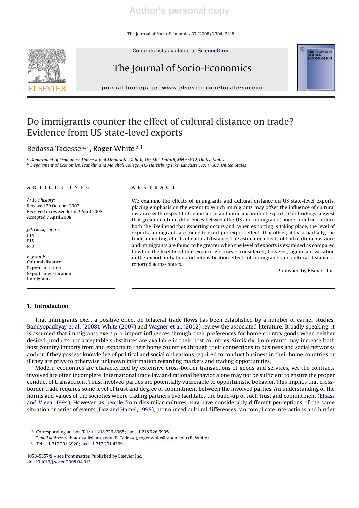The Journal of Socio-Economics 37 (2008) 2304–2318

Contents lists available at ScienceDirect

# The Journal of Socio-Economics

journal homepage: www.elsevier.com/locate/soceco

# Do immigrants counter the effect of cultural distance on trade? Evidence from US state-level exports

### Bedassa Tadesse<sup>a,∗</sup>, Roger White<sup>b,1</sup>

<sup>a</sup> *Department of Economics, University of Minnesota-Duluth, 165 SBE, Duluth, MN 55812, United States* <sup>b</sup> *Department of Economics, Franklin and Marshall College, 415 Harrisburg Pike, Lancaster, PA 17603, United States*

#### article info

*Article history:* Received 29 October 2007 Received in revised form 2 April 2008 Accepted 7 April 2008

*JEL classification:* F14 F15 F22

*Keywords:* Cultural distance Export-initiation Export-intensification Immigrants

### **1. Introduction**

#### **ABSTRACT**

We examine the effects of immigrants and cultural distance on US state-level exports, placing emphasis on the extent to which immigrants may offset the influence of cultural distance with respect to the initiation and intensification of exports. Our findings suggest that greater cultural differences between the US and immigrants' home countries reduce both the likelihood that exporting occurs and, when exporting is taking place, the level of exports. Immigrants are found to exert pro-export effects that offset, at least partially, the trade-inhibiting effects of cultural distance. The estimated effects of both cultural distance and immigrants are found to be greater when the level of exports is examined as compared to when the likelihood that exporting occurs is considered; however, significant variation in the export-initiation and intensification effects of immigrants and cultural distance is reported across states.

Published by Elsevier Inc.

That immigrants exert a positive effect on bilateral trade flows has been established by a number of earlier studies. Bandyopadhyay et al. (2008), White (2007) and Wagner et al. (2002) review the associated literature. Broadly speaking, it is assumed that immigrants exert pro-import influences through their preferences for home country goods when neither desired products nor acceptable substitutes are available in their host countries. Similarly, immigrants may increase both host country imports from and exports to their home countries through their connections to business and social networks and/or if they possess knowledge of political and social obligations required to conduct business in their home countries or if they are privy to otherwise unknown information regarding markets and trading opportunities.

Modern economies are characterized by extensive cross-border transactions of goods and services, yet the contracts involved are often incomplete. International trade law and rational behavior alone may not be sufficient to ensure the proper conduct of transactions. Thus, involved parties are potentially vulnerable to opportunistic behavior. This implies that crossborder trade requires some level of trust and degree of commitment between the involved parties. An understanding of the norms and values of the societies where trading partners live facilitates the build-up of such trust and commitment (Elsass and Viega, 1994). However, as people from dissimilar cultures may have considerably different perceptions of the same situation or series of events (Doz and Hamel, 1998), pronounced cultural differences can complicate interactions and hinder

 $1$  Tel.: +1 717 291 3920; fax: +1 717 291 4369.





<sup>∗</sup> Corresponding author. Tel.: +1 218 726 8365; fax: +1 218 726 6905.

*E-mail addresses:* btadesse@d.umn.edu (B. Tadesse), roger.white@fandm.edu (R. White).

<sup>1053-5357/\$ –</sup> see front matter. Published by Elsevier Inc. doi:10.1016/j.socec.2008.04.013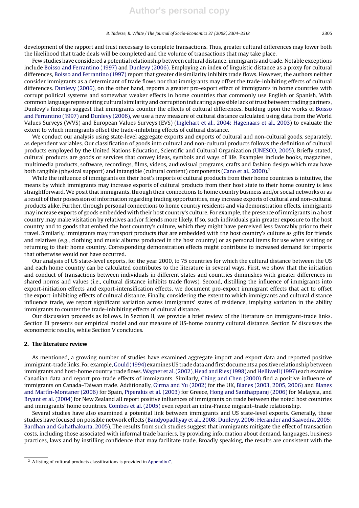development of the rapport and trust necessary to complete transactions. Thus, greater cultural differences may lower both the likelihood that trade deals will be completed and the volume of transactions that may take place.

Few studies have considered a potential relationship between cultural distance, immigrants and trade. Notable exceptions include Boisso and Ferrantino (1997) and Dunlevy (2006). Employing an index of linguistic distance as a proxy for cultural differences, Boisso and Ferrantino (1997) report that greater dissimilarity inhibits trade flows. However, the authors neither consider immigrants as a determinant of trade flows nor that immigrants may offset the trade-inhibiting effects of cultural differences. Dunlevy (2006), on the other hand, reports a greater pro-export effect of immigrants in home countries with corrupt political systems and somewhat weaker effects in home countries that commonly use English or Spanish. With common language representing cultural similarity and corruption indicating a possible lack of trust between trading partners, Dunlevy's findings suggest that immigrants counter the effects of cultural differences. Building upon the works of Boisso and Ferrantino (1997) and Dunlevy (2006), we use a new measure of cultural distance calculated using data from the World Values Surveys (WVS) and European Values Surveys (EVS) (Inglehart et al., 2004; Hagenaars et al., 2003) to evaluate the extent to which immigrants offset the trade-inhibiting effects of cultural distance.

We conduct our analysis using state-level aggregate exports and exports of cultural and non-cultural goods, separately, as dependent variables. Our classification of goods into cultural and non-cultural products follows the definition of cultural products employed by the United Nations Education, Scientific and Cultural Organization (UNESCO, 2005). Briefly stated, cultural products are goods or services that convey ideas, symbols and ways of life. Examples include books, magazines, multimedia products, software, recordings, films, videos, audiovisual programs, crafts and fashion design which may have both tangible (physical support) and intangible (cultural content) components (Cano et al., 2000).<sup>2</sup>

While the influence of immigrants on their host's imports of cultural products from their home countries is intuitive, the means by which immigrants may increase exports of cultural products from their host state to their home country is less straightforward. We posit that immigrants, through their connections to home country business and/or social networks or as a result of their possession of information regarding trading opportunities, may increase exports of cultural and non-cultural products alike. Further, through personal connections to home country residents and via demonstration effects, immigrants may increase exports of goods embedded with their host country's culture. For example, the presence of immigrants in a host country may make visitation by relatives and/or friends more likely. If so, such individuals gain greater exposure to the host country and to goods that embed the host country's culture, which they might have perceived less favorably prior to their travel. Similarly, immigrants may transport products that are embedded with the host country's culture as gifts for friends and relatives (e.g., clothing and music albums produced in the host country) or as personal items for use when visiting or returning to their home country. Corresponding demonstration effects might contribute to increased demand for imports that otherwise would not have occurred.

Our analysis of US state-level exports, for the year 2000, to 75 countries for which the cultural distance between the US and each home country can be calculated contributes to the literature in several ways. First, we show that the initiation and conduct of transactions between individuals in different states and countries diminishes with greater differences in shared norms and values (i.e., cultural distance inhibits trade flows). Second, distilling the influence of immigrants into export-initiation effects and export-intensification effects, we document pro-export immigrant effects that act to offset the export-inhibiting effects of cultural distance. Finally, considering the extent to which immigrants and cultural distance influence trade, we report significant variation across immigrants' states of residence, implying variation in the ability immigrants to counter the trade-inhibiting effects of cultural distance.

Our discussion proceeds as follows. In Section II, we provide a brief review of the literature on immigrant-trade links. Section III presents our empirical model and our measure of US-home country cultural distance. Section IV discusses the econometric results, while Section V concludes.

#### **2. The literature review**

As mentioned, a growing number of studies have examined aggregate import and export data and reported positive immigrant-trade links. For example, Gould (1994) examines US trade data and first documents a positive relationship between immigrants and host-home country trade flows.Wagner et al. (2002), Head and Ries (1998) and Helliwell (1997) each examine Canadian data and report pro-trade effects of immigrants. Similarly, Ching and Chen (2000) find a positive influence of immigrants on Canada–Taiwan trade. Additionally, Girma and Yu (2002) for the UK, Blanes (2003, 2005, 2006) and Blanes and Martín-Montaner (2006) for Spain, Piperakis et al. (2003) for Greece, Hong and Santhapparaj (2006) for Malaysia, and Bryant et al. (2004) for New Zealand all report positive influences of immigrants on trade between the noted host countries and immigrants' home countries. Combes et al. (2005) even report an intra-France migrant–trade relationship.

Several studies have also examined a potential link between immigrants and US state-level exports. Generally, these studies have focused on possible network effects (Bandyopadhyay et al., 2008; Dunlevy, 2006; Herander and Saavedra, 2005; Bardhan and Guhathakurta, 2005). The results from such studies suggest that immigrants mitigate the effect of transaction costs, including those associated with informal trade barriers, by providing information about demand, languages, business practices, laws and by instilling confidence that may facilitate trade. Broadly speaking, the results are consistent with the

<sup>2</sup> A listing of cultural products classifications is provided in Appendix C.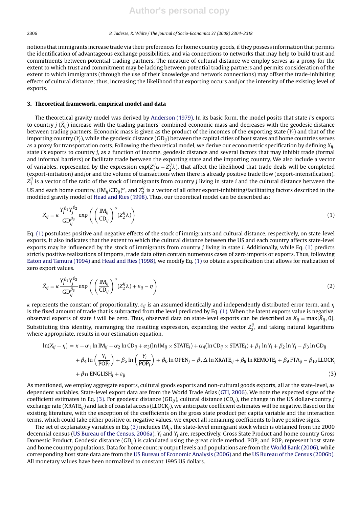notions that immigrants increase trade via their preferences for home country goods, if they possess information that permits the identification of advantageous exchange possibilities, and via connections to networks that may help to build trust and commitments between potential trading partners. The measure of cultural distance we employ serves as a proxy for the extent to which trust and commitment may be lacking between potential trading partners and permits consideration of the extent to which immigrants (through the use of their knowledge and network connections) may offset the trade-inhibiting effects of cultural distance; thus, increasing the likelihood that exporting occurs and/or the intensity of the existing level of exports.

#### **3. Theoretical framework, empirical model and data**

The theoretical gravity model was derived by Anderson (1979). In its basic form, the model posits that state *i*'s exports to country *j* ( $\tilde{X}_{ii}$ ) increase with the trading partners' combined economic mass and decreases with the geodesic distance between trading partners. Economic mass is given as the product of the incomes of the exporting state (*Yi*) and that of the importing country (*Yj*), while the geodesic distance (GD*ij*) between the capital cities of host states and home countries serves as a proxy for transportation costs. Following the theoretical model, we derive our econometric specification by defining *Xij*, state *i*'s exports to country *j*, as a function of income, geodesic distance and several factors that may inhibit trade (formal and informal barriers) or facilitate trade between the exporting state and the importing country. We also include a vector of variables, represented by the expression  $exp(Z_1^j\alpha - Z_2^j\lambda)$ , that affect the likelihood that trade deals will be completed (export-initiation) and/or and the volume of transactions when there is already positive trade flow (export-intensification).  $Z_1^{ij}$  is a vector of the ratio of the stock of immigrants from country  $j$  living in state  $i$  and the cultural distance between the US and each home country,  $(M_{ij}/CD_{ij})^\alpha$ , and  $Z_2^{ij}$  is a vector of all other export-inhibiting/facilitating factors described in the modified gravity model of Head and Ries (1998). Thus, our theoretical model can be described as:

$$
\tilde{X}_{ij} = \kappa \frac{Y_i^{\beta_1} Y_j^{\beta_2}}{GD_{ij}^{\beta_3}} \exp\left(\left(\frac{\text{IM}_{ij}}{CD_{ij}}\right)^{\alpha} (Z_2^{ij}\lambda)\right) \tag{1}
$$

Eq. (1) postulates positive and negative effects of the stock of immigrants and cultural distance, respectively, on state-level exports. It also indicates that the extent to which the cultural distance between the US and each country affects state-level exports may be influenced by the stock of immigrants from country *j* living in state *i*. Additionally, while Eq. (1) predicts strictly positive realizations of imports, trade data often contain numerous cases of zero imports or exports. Thus, following Eaton and Tamura (1994) and Head and Ries (1998), we modify Eq. (1) to obtain a specification that allows for realization of zero export values.

$$
\tilde{X}_{ij} = \kappa \frac{Y_i^{\beta_1} Y_j^{\beta_2}}{GD_{ij}^{\beta_3}} \exp\left(\left(\frac{\text{IM}_{ij}}{CD_{ij}}\right)^{\alpha} (Z_2^{ij}\lambda) + \varepsilon_{ij} - \eta\right)
$$
\n(2)

 $\kappa$  represents the constant of proportionality,  $\varepsilon_{ij}$  is an assumed identically and independently distributed error term, and  $\eta$ is the fixed amount of trade that is subtracted from the level predicted by Eq. (1). When the latent exports value is negative, observed exports of state *i* will be zero. Thus, observed data on state-level exports can be described as  $X_{ij} = max[\tilde{X}_{ij}, 0]$ . Substituting this identity, rearranging the resulting expression, expanding the vector  $Z_2^{ij}$ , and taking natural logarithms where appropriate, results in our estimation equation.

$$
\ln(X_{ij} + \eta) = \kappa + \alpha_1 \ln \text{IM}_{ij} - \alpha_2 \ln \text{CD}_{ij} + \alpha_3 (\ln \text{IM}_{ij} \times \text{STATE}_i) + \alpha_4 (\ln \text{CD}_{ij} \times \text{STATE}_i) + \beta_1 \ln Y_i + \beta_2 \ln Y_j - \beta_3 \ln \text{GD}_{ij}
$$
  
+  $\beta_4 \ln \left( \frac{Y_i}{\text{POP}_i} \right) + \beta_5 \ln \left( \frac{Y_i}{\text{POP}_i} \right) + \beta_6 \ln \text{OPEN}_j - \beta_7 \Delta \ln \text{XRATE}_{ij} + \beta_8 \ln \text{REMOTE}_j + \beta_9 \text{FTA}_{ij} - \beta_{10} \text{ LLOCK}_j$   
+  $\beta_{11} \text{ ENGLISH}_j + \varepsilon_{ij}$  (3)

As mentioned, we employ aggregate exports, cultural goods exports and non-cultural goods exports, all at the state-level, as dependent variables. State-level export data are from the World Trade Atlas (GTI, 2006). We note the expected signs of the coefficient estimates in Eq. (3). For geodesic distance (GD*ij*), cultural distance (CD*ij*), the change in the US dollar-country *j* exchange rate (XRATE*ij*) and lack of coastal access (LLOCK*j*), we anticipate coefficient estimates will be negative. Based on the existing literature, with the exception of the coefficients on the gross state product per capita variable and the interaction terms, which could take either positive or negative values, we expect all remaining coefficients to have positive signs.

The set of explanatory variables in Eq. (3) includes IM*ij*, the state-level immigrant stock which is obtained from the 2000 decennial census (US Bureau of the Census, 2006a), *Yi* and *Yj* are, respectively, Gross State Product and home country Gross Domestic Product. Geodesic distance (GD*ij*) is calculated using the great circle method. POP*<sup>i</sup>* and POP*<sup>j</sup>* represent host state and home country populations. Data for home country output levels and populations are from the World Bank (2006), while corresponding host state data are from the US Bureau of Economic Analysis (2006) and the US Bureau of the Census (2006b). All monetary values have been normalized to constant 1995 US dollars.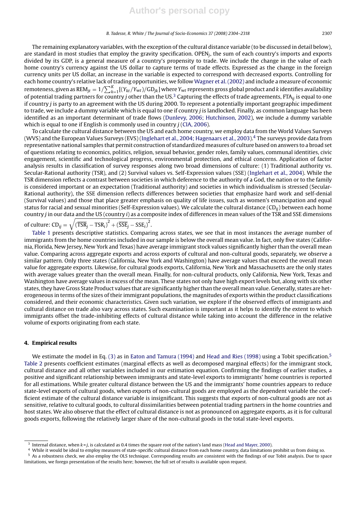The remaining explanatory variables, with the exception of the cultural distance variable (to be discussed in detail below), are standard in most studies that employ the gravity specification. OPEN*j*, the sum of each country's imports and exports divided by its GDP, is a general measure of a country's propensity to trade. We include the change in the value of each home country's currency against the US dollar to capture terms of trade effects. Expressed as the change in the foreign currency units per US dollar, an increase in the variable is expected to correspond with decreased exports. Controlling for each home country's relative lack of trading opportunities, we follow Wagner et al. (2002) and include a measure of economic remoteness, given as  $\text{REM}_{jt} = 1/\sum_{k=1}^{K} [(Y_{kt}/Y_{wt})/GD_{jk}]$  where  $Y_{wt}$  represents gross global product and *k* identifies availability of potential trading partners for country *j* other than the US.3 Capturing the effects of trade agreements, FTA*ij* is equal to one if country *j* is party to an agreement with the US during 2000. To represent a potentially important geographic impediment to trade, we include a dummy variable which is equal to one if country *j* is landlocked. Finally, as common language has been identified as an important determinant of trade flows (Dunlevy, 2006; Hutchinson, 2002), we include a dummy variable which is equal to one if English is commonly used in country *j* (CIA, 2006).

To calculate the cultural distance between the US and each home country, we employ data from the World Values Surveys (WVS) and the European Values Surveys (EVS) (Inglehart et al., 2004; Hagenaars et al., 2003).4 The surveys provide data from representative national samples that permit construction of standardized measures of culture based on answers to a broad set of questions relating to economics, politics, religion, sexual behavior, gender roles, family values, communal identities, civic engagement, scientific and technological progress, environmental protection, and ethical concerns. Application of factor analysis results in classification of survey responses along two broad dimensions of culture: (1) Traditional authority vs. Secular-Rational authority (TSR), and (2) Survival values vs. Self-Expression values (SSE) (Inglehart et al., 2004). While the TSR dimension reflects a contrast between societies in which deference to the authority of a God, the nation or to the family is considered important or an expectation (Traditional authority) and societies in which individualism is stressed (Secular-Rational authority), the SSE dimension reflects differences between societies that emphasize hard work and self-denial (Survival values) and those that place greater emphasis on quality of life issues, such as women's emancipation and equal status for racial and sexual minorities (Self-Expression values). We calculate the cultural distance (CD*ij*) between each home country *j* in our data and the US (country *i*) as a composite index of differences in mean values of the TSR and SSE dimensions

of culture:  $\text{CD}_{ij} = \sqrt{\left(\overline{\text{TSR}}_j - \text{TSR}_i\right)^2 + \left(\overline{\text{SSE}}_j - \text{SSE}_i\right)^2}.$ 

Table 1 presents descriptive statistics. Comparing across states, we see that in most instances the average number of immigrants from the home countries included in our sample is below the overall mean value. In fact, only five states (California, Florida, New Jersey, New York and Texas) have average immigrant stock values significantly higher than the overall mean value. Comparing across aggregate exports and across exports of cultural and non-cultural goods, separately, we observe a similar pattern. Only three states (California, New York and Washington) have average values that exceed the overall mean value for aggregate exports. Likewise, for cultural goods exports, California, New York and Massachusetts are the only states with average values greater than the overall mean. Finally, for non-cultural products, only California, New York, Texas and Washington have average values in excess of the mean. These states not only have high export levels but, along with six other states, they have Gross State Product values that are significantly higher than the overall mean value. Generally, states are heterogeneous in terms of the sizes of their immigrant populations, the magnitudes of exports within the product classifications considered, and their economic characteristics. Given such variation, we explore if the observed effects of immigrants and cultural distance on trade also vary across states. Such examination is important as it helps to identify the extent to which immigrants offset the trade-inhibiting effects of cultural distance while taking into account the difference in the relative volume of exports originating from each state.

#### **4. Empirical results**

We estimate the model in Eq. (3) as in Eaton and Tamura (1994) and Head and Ries (1998) using a Tobit specification.<sup>5</sup> Table 2 presents coefficient estimates (marginal effects as well as decomposed marginal effects) for the immigrant stock, cultural distance and all other variables included in our estimation equation. Confirming the findings of earlier studies, a positive and significant relationship between immigrants and state-level exports to immigrants' home countries is reported for all estimations. While greater cultural distance between the US and the immigrants' home countries appears to reduce state-level exports of cultural goods, when exports of non-cultural goods are employed as the dependent variable the coefficient estimate of the cultural distance variable is insignificant. This suggests that exports of non-cultural goods are not as sensitive, relative to cultural goods, to cultural dissimilarities between potential trading partners in the home countries and host states. We also observe that the effect of cultural distance is not as pronounced on aggregate exports, as it is for cultural goods exports, following the relatively larger share of the non-cultural goods in the total state-level exports.

<sup>&</sup>lt;sup>3</sup> Internal distance, when  $k = j$ , is calculated as 0.4 times the square root of the nation's land mass (Head and Mayer, 2000).

<sup>4</sup> While it would be ideal to employ measures of state-specific cultural distance from each home country, data limitations prohibit us from doing so.

<sup>5</sup> As a robustness check, we also employ the OLS technique. Corresponding results are consistent with the findings of our Tobit analysis. Due to space limitations, we forego presentation of the results here; however, the full set of results is available upon request.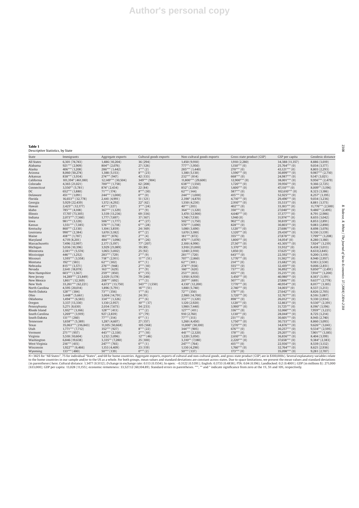#### **Table 1** Descriptive Statistics, by State

State Immigrants Aggregate exports Cultural goods exports Non-cultural goods exports Gross state product (GSP) GSP per capita Geodesic distance All States 6,301 (74,743) 1,486 (10,204) 36 (294) 1,450 (9,910) 1,910 (2,280) 34,388 (11,357) 8,886 (3,019) Alabama 921\*\*\* (2,909) 804\*\* (2,076) 27 (126) 777\*\* (1,950) 1,150\*\*\* (0) 25,764\*\*\* (0) 9,034 (3,177) Alaska 406\*\*\* (1,208) 286\*\*\* (1,442) 1\*\*\* (2) 285\*\*\* (1,440) 270\*\*\* (0) 43,121\*\*\* (0) 8,803 (2,293) Arizona 8,060 (50,274) 1,388 (5,153) 1,380 (5,130) 1,590\*\*\* (0) 30,899\*\*\* (0) 9,987\*\*\* (2,710) Arkansas 838\*\*\* (3,934) 274\*\*\* (947) 42 (133) 232\*\*\* (814) 668\*\*\* (0) 24,987\*\*\* (0) 9,147 (3,021) California 101,394\* (461,180) 12,149\*\*\* (30,504) 349\*\*\* (904) 11,800\*\*\* (29,600) 12,900\*\*\* (0) 38,001\*\*\* (0) 9,956\*\*\* (2,479) Colorado 4,365 (21,021) 700\*\*\* (1,758) 62 (208) 638\*\*\* (1,550) 1,720\*\*\* (0) 39,956\*\*\* (0) 9,366 (2,725) Connecticut 3,550\*\* (5,781) 874\* (2,434) 22 (84) 852\* (2,350) 1,600\*\*\* (0) 47,110\*\*\* (0) 8,009\*\* (3,196) DC 652\*\*\* (1,880) 71\*\*\* (174) 8\*\*\* (30) 62\*\*\* (144) 587\*\*\* (0) 102,610\*\*\* (0) 8,323 (3,186) Delaware 451\*\*\* (1,091) 244\*\*\* (1,000) 0\*\*\* (0) 244\*\*\* (1,000) 415\*\*\* (0) 52,925\*\*\* (0) 8,257\* (3,195) Florida 16,653\*\* (32,778) 2,441 (4,991) 51 (121) 2,390\* (4,870) 4,710\*\*\* (0) 29,490\*\*\* (0) 9,034 (3,236) Georgia 5,929 (22,439) 1,572 (4,292) 22\* (62) 1,550 (4,230) 2,910\*\*\* (0) 35,533\*\*\*\* (0) 8,881 (3,175) Hawaii 2,425\*\* (12,177) 43\*\*\* (227) 3\*\*\* (24) 40\*\*\* (203) 402\*\*\* (0) 33,183\*\*\* (0) 11,776\*\*\* (2,500) Idaho 785\*\*\* (4,108) 367\*\*\* (1,329) 3\*\*\* (9) 364\*\*\* (1,320) 350\*\*\* (0) 27,040\*\*\* (0) 9,486\*\* (2,495) Illinois 17,707 (73,305) 3,539 (13,236) 69 (336) 3,470 (12,900) 4,640\*\*\* (0) 37,377\*\*\* (0) 8,791 (2,986) Indiana 2,073\*\*\* (7,360) 1,777 (7,697) 37 (167) 1,740 (7,530) 1,940 (0) 31,974\*\*\* (0) 8,655 (3,042) Iowa 981\*\*\* (3,128) 506\*\*\* (1,777) 4\*\*\* (27) 502\*\*\* (1,750) 902\*\*\* (0) 30,819\*\*\* (0) 8,853 (2,891) Kansas 1,551\*\*\* (7,385) 576\*\*\* (1,718) 6\*\*\* (28) 570\*\*\* (1,690) 828\*\*\* (0) 30,803\*\*\* (0) 9,083 (2,890) Kentucky 860\*\*\* (2,130) 1,104 (3,859) 24 (169) 1,080 (3,690) 1,120\*\*\* (0) 27,686\*\*\* (0) 8,698 (3,076) Louisiana 990\*\*\* (2,384) 1,670 (3,182) 0\*\*\* (2) 1,670 (3,180) 1,320\*\*\* (0) 29,430\*\*\* (0) 9,330 (3,139) Maine 418\*\*\*(1,787) 183\*\*\*(876) 2\*\*\*(4) 181\*\*\*(872) 355\*\*\*(0) 7,799\*\*\*(3,208) Maryland 4,719 (8,201) 484\*\*\* (1,096) 8\*\*\* (26) 476\*\*\* (1,070) 46.872 1,800\*\*\* (0) 34,054\* (0) 8,280 (3,180) 8,280 (3,180) 476 1,800 476\*\*\* (1,070) 8.280 (3,180) 8,280 (3,180) 476 1,800 476 1,800 476 1,800 1,800 1,800 1,80 Massachusetts 7,496 (12,997) 2,177 (5,197) 77\* (207) 2,100 (4,990) 27,50\*\*\* (0) 43,305\*\*\* (0) 7,924\*\* (3,219) Michigan 5,036 (10,396) 3,929 (21,089) 19 (89) 3,910 (21,000) 3,370\*\*\* (0) 33,932\*\* (0) 8,438 (3,013) Minnesota 2,181\*\*\* (5,574) 1,065 (3,002) 25 (92) 1,040 (2,910) 1,850 (0) 37,625\*\*\* (0) 8,633(2,845) Mississippi 446\*\*\* (1,252) 283\*\*\* (729) 2\*\*\* (9) 281\*\*\* (720) 643\*\*\* (0) 22,592\*\*\* (0) 9,200 (3,119) Missouri 1,595\*\*\* (3,558) 718\*\* (2,911) 11\*\*\* (51) 707\*\* (2,860) 1,770\*\*\* (0) 31,582\*\*\* (0) 8,940 (2,957) Montana 192\*\*\* (583) 62\*\*\* (302) 0\*\*\* (1) 62\*\*\* (301) 214\*\*\* (0) 23,682\*\*\* (0) 9,183 (2,530) Nebraska 815\*\*\* (3,571) 276\*\*\* (948) 2\*\*\* (10) 274\*\*\* (938) 555\*\*\* (0) 32,419\*\*\* (0) 9,006 (2,851) Nevada 2,641 (18,078) 163\*\*\* (629) 3\*\*\* (9) 160\*\*\* (620) 737\*\*\* (0) 36,892\*\*\* (0) 9,850\*\*\* (2,491) New Hampshire 603\*\*\* (1,567) 259\*\*\* (850) 6\*\*\* (15) 253\*\*\* (835) 435\*\*\* (0) 35,215\*\*\* (0) 7,914\*\*\* (3,200) New Jersey 14,289\*\*\* (23,849) 2,029 (5,178) 79 (248) 1,950 (4,930) 3,450\*\*\* (0) 40,980\*\*\* (0) 8,183\* (3,191) New Mexico 1,861\*\* (12,369) 208\*\*\* (692) 1\*\*\* (3) 207\*\*\* (689) 507\*\*\* (0) 27,886\*\*\* (0) 9,637\*\* (2,778) New York 33,261\*\*\* (62,221) 4,673\*\* (13,750) 543\*\*\* (1,550) 4,130\* (12,200) 7,770\*\*\* (0) 40,954\*\*\* (0) 8,017\*\* (3,185) North Carolina 4,595 (20,014) 1,896 (5,791) 16\*\*\* (51) 1,880 (5,740) 2,740\*\*\* (0) 34,003\*\* (0) 8,537 (3,213) North Dakota 128\*\*\* (384) 73\*\*\* (356) 1\*\*\* (6) 72\*\*\* (350) 178\*\*\* (0) 27,642\*\*\* (0) 8,826 (2,705) Ohio 3,448\*\* (5,661) 3,004 (14,791) 24 (91) 2,980 (14,700) 3,720\*\*\* (0) 32,767\*\*\* (0) 8,516 (3,087) Oklahoma 1,494\*\*\* (6,583) 334\*\*\* (1,326) 2\*\*\* (6) 332\*\*\* (1,320) 898\*\*\* (0) 26,012\*\*\* (0) 9,330 (2,934) Oregon 3,337 (13,330) 1,130 (2,957) 10\*\*\* (37) 1,120 (2,920) 1,120\*\*\* (0) 32,863\*\*\* (0) 9,530\*\* (2,391) Pennsylvania 5,271 (8,630) 2,034 (7,673) 54 (233) 1,980 (7,440) 3,900\*\*\* (0) 31,725\*\*\* (0) 8,196\* (3,196) Rhode Island 1,102\*\*\* (3,166) 128\*\*\* (413) 1\*\*\* (2) 127\*\*\* (411) 336\*\*\* (0) 32,060\*\*\* (0) 7,959\*\* (3,221) South Carolina 1,269\*\*\* (3,919) 927 (2,839) 17\* (79) 1,130\*\*\* (0) 8,725 (3,214) South Dakota 131\*\*\* (260) 77\*\*\* (314) 0\*\*\* (1) 77\*\*\* (313) 231\*\*\* (0) 30,601\*\*\* (0) 8,945 (2,740) Tennessee 1,658\*\*\* (5,389) 1,287 (4,607) 27 (157) 1,260 (4,450) 1,750\*\*\* (0) 30,733\*\*\* (0) 8,860 (3,093) Texas 35,063\*\*\* (216,843) 11,105 (50,668) 105 (568) 11,000\* (50,100) 7,270\*\*\* (0) 34,876\*\*\* (0) 9,626\*\* (3,041) Utah 1,771\*\*\* (7,712) 352\*\*\* (927) 8\*\*\* (22) 344\*\*\* (905) 676\*\*\* (0) 30,257\*\*\* (0) 9,534\*\* (2,595) Vermont 271\*\*\* (957) 443\*\*\* (2,330) 2\*\*\* (10) 441\*\*\* (2,320) 178\*\*\* (0) 29,207\*\*\* (0) 7,901\*\*\* (3,185) Virginia 5,518 (10,604) 1,232 (3,096) 12\*\*\* (46) 1,220 (3,050) 2,610\*\*\* (0) 36,836\*\*\* (0) 8,404 (3,199) Washington 6,846 (19,638) 3,335\*\* (7,280) 25 (100) 3,310\*\* (7,180) 2,220\*\*\* (0) 37,658\*\*\* (0) 9,384\* (2,383) 4, 2,220\*\* West Virginia 216\*\*\* (415) 247\*\*\* (765) 0\*\*\* (1) 247\*\*\* (764) 415\*\*\* (0) 22,936\*\*\* (0) 8,539 (3,132) Wisconsin 1,922\*\*\* (6,466) 1,153 (4,409) 23 (119) 1,130 (4,290) 1,760\*\*\* (0) 32,764\*\*\* (0) 8,621 (2,936) Wyoming 133\*\*\* (480) 50\*\*\* (139) 0\*\*\* (2) 50\*\*\* (137) 173\*\*\* (0) 9,281 (2,707) Rode Island<br>
South Carolina 1,029<sup>2++</sup> (3,959)<br>
South Dakota 131\*\*\* (260)<br>
South Dakota 131\*\*\* (260)<br>
South Dakota 131\*\*\* (260)<br>
South Dakota 131\*\*\* (260)<br>
Transsee (1,6583\*\* (1,868)<br>
Tensesee 1,658\* (1,868)<br>
Tensesee 1,65

to the home countries in our sample and/or to the US as a whole. For both groups, mean values and standard deviations are constant across states. Due to space limitations, we present the mean values and standard deviations

2308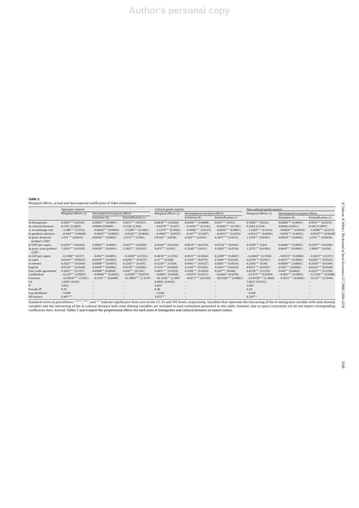**Table 2** Marginal effects, actual and decomposed coefficients of Tobit estimations

|                                    | Aggregate exports                                   |                       |                        | Cultural goods exports |                             |                        | Non-cultural goods exports |                             |                       |  |
|------------------------------------|-----------------------------------------------------|-----------------------|------------------------|------------------------|-----------------------------|------------------------|----------------------------|-----------------------------|-----------------------|--|
|                                    | Marginal effects (a)<br>Decomposed marginal effects |                       |                        | Marginal effects (a)   | Decomposed marginal effects |                        | Marginal effects (a)       | Decomposed marginal effects |                       |  |
|                                    |                                                     | Initiation (b)        | Intensification $(c)$  |                        | Initiation (b)              | Intensification $(c)$  |                            | Initiation (b)              | Intensification $(c)$ |  |
| In Immigrants                      | $0.1083***(0.0315)$                                 | $0.0003***$ (0.0001)  | $0.1071***$ (0.0311)   | $0.0816***$ (0.0264)   | $0.0304***$ (0.0098)        | $0.037***(0.012)$      | $0.1066***(0.032)$         | $0.0004***(0.0001)$         | $0.1051***$ (0.0315)  |  |
| In cultural distance               | 0.1351(0.3095)                                      | 0.0004(0.0009)        | 0.1336(0.306)          | $-0.9278***(0.307)$    | $-0.3453***(0.1142)$        | $-0.4203***$ (0.1391)  | 0.1582(0.314)              | 0.0006(0.0011)              | 0.156(0.3097)         |  |
| $\Delta$ ln exchange rate          | $-1.546***$ (0.1512)                                | $-0.0045***(0.0004)$  | $-1.5286***(0.1495)$   | $-1.3279***$ (0.1944)  | $-0.4942***(0.0723)$        | $-0.6016***$ (0.0881)  | $-1.5305***$ (0.1534)      | $-0.0054***$ (0.0005)       | $-1.5099***$ (0.1513) |  |
| In geodesic distance               | $-0.844***$ (0.0648)                                | $-0.0025***$ (0.0002) | $-0.8345***(0.0641)$   | $-0.4487***$ (0.0557)  | $-0.167***$ (0.0207)        | $-0.2033***(0.0252)$   | $-0.8512***$ (0.0658)      | $-0.003***$ (0.0002)        | $-0.8397***$ (0.0649) |  |
| In gross domestic<br>product (GDP) | $1.231***$ (0.0435)                                 | $0.0036***(0.0001)$   | $1.2172***(0.043)$     | $0.8116***$ (0.038)    | $0.302***(0.0141)$          | $0.3677***(0.0172)$    | $1.2318***$ (0.0441)       | $0.0044***$ (0.0002)        | $1,2151***$ (0.0436)  |  |
| In GDP per capita                  | $0.1676***$ (0.0394)                                | $0.0005***(0.0001)$   | $0.1657***$ (0.0389)   | $0.1664***(0.0359)$    | $0.0619***(0.0134)$         | $0.0754***(0.0163)$    | $0.1599***$ (0.04)         | $0.0006***(0.0001)$         | $0.1578***$ (0.0394)  |  |
| In gross state product<br>(GSP)    | $1.3205***$ (0.0359)                                | $0.0039***(0.0001)$   | $1.3057***$ (0.0355)   | $0.873***(0.035)$      | $0.3249***$ (0.013)         | $0.3955***(0.0159)$    | $1.3273***$ (0.0365)       | $0.0047***$ (0.0001)        | $1.3094***$ (0.036)   |  |
| In GSP per capita                  | $-0.3498**$ (0.157)                                 | $-0.001**$ (0.0005)   | $-0.3459**$ (0.1553)   | $0.4876***(0.1516)$    | $0.1815***$ (0.0564)        | $0.2209***$ (0.0687)   | $-0.3686**$ (0.1594)       | $-0.0013**$ (0.0006)        | $-0.3637**$ (0.1573)  |  |
| ln open                            | $0.6364***(0.0543)$                                 | $0.0019***$ (0.0002)  | $0.6293***(0.0537)$    | $0.31***(0.048)$       | $0.1154***(0.0179)$         | $0.1404***$ (0.0218)   | $0.6378***$ (0.0551)       | $0.0023***$ (0.0002)        | $0.6292***$ (0.0543)  |  |
| In remote                          | $0.2621***$ (0.0394)                                | $0.0008***$ (0.0001)  | $0.2592***(0.039)$     | $0.1238***$ (0.034)    | $0.0461***(0.0127)$         | $0.0561***(0.0154)$    | $0.2593***(0.04)$          | $0.0009***$ (0.0001)        | $0.2558***(0.0394)$   |  |
| English                            | $0.6239***(0.0548)$                                 | $0.0016***(0.0002)$   | $0.6176***(0.0542)$    | $0.3111***$ (0.0494)   | $0.1136***$ (0.0184)        | $0.1443***(0.0224)$    | $0.6311***$ (0.0557)       | $0.002***(0.0002)$          | $0.6234***$ (0.0549)  |  |
| Free trade agreement               | $0.4192***(0.1257)$                                 | $0.0008**$ (0.0004)   | $0.416***(0.1243)$     | $0.4811***$ (0.1059)   | $0.1598***$ (0.0394)        | $0.247***(0.048)$      | $0.4276***(0.1276)$        | $0.001**$ (0.0005)          | $0.4237***$ (0.1258)  |  |
| Landlocked                         | $-0.234***$ (0.0585)                                | $-0.0008***$ (0.0002) | $-0.2309***$ (0.0578)  | $-0.0993*(0.0568)$     | $-0.0373*(0.0212)$          | $-0.0442*(0.0258)$     | $-0.2375***$ (0.0594)      | $-0.001***$ (0.0002)        | $-0.2338***$ (0.0586) |  |
| Constant                           | $-52.9836***$ (2.3511)                              | $-0.1551***$ (0.0069) | $-52.3885***$ (2.3247) | $-45.3334**$ (2.199)*  | $-16.871***$ (0.8184)       | $-20.5385***$ (0.9963) | $-52.8529***$ (2.3866)     | $-0.1872***$ (0.0085)       | $-52.14***$ (2.3544)  |  |
| S.E.                               | 1.2497 (0.015)                                      |                       |                        | 0.9992(0.0145)         |                             |                        | 1.2677(0.0152)             |                             |                       |  |
|                                    | 3,825                                               |                       |                        | 3,825                  |                             |                        | 3,825                      |                             |                       |  |
| Pseudo- $R^2$                      | 0.35                                                |                       |                        | 0.40                   |                             |                        | 0.34                       |                             |                       |  |
| Log likelihood                     | $-5,999$                                            |                       |                        | $-3,844$               |                             |                        | $-6,041$                   |                             |                       |  |
| LR statistic                       | $6,407***$                                          |                       |                        | 5,073***               |                             |                        | $6,310***$                 |                             |                       |  |

Standard errors in parentheses. "\*\*\*", "\*\*", and "\*" indicate significance from zero at the 1%, 5% and 10% levels, respectively. Variables that represent the interacting of the In immigrants variable with state dummy<br>varia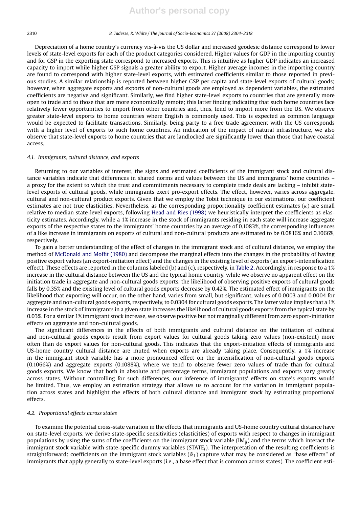Depreciation of a home country's currency vis-à-vis the US dollar and increased geodesic distance correspond to lower levels of state-level exports for each of the product categories considered. Higher values for GDP in the importing country and for GSP in the exporting state correspond to increased exports. This is intuitive as higher GDP indicates an increased capacity to import while higher GSP signals a greater ability to export. Higher average incomes in the importing country are found to correspond with higher state-level exports, with estimated coefficients similar to those reported in previous studies. A similar relationship is reported between higher GSP per capita and state-level exports of cultural goods; however, when aggregate exports and exports of non-cultural goods are employed as dependent variables, the estimated coefficients are negative and significant. Similarly, we find higher state-level exports to countries that are generally more open to trade and to those that are more economically remote; this latter finding indicating that such home countries face relatively fewer opportunities to import from other countries and, thus, tend to import more from the US. We observe greater state-level exports to home countries where English is commonly used. This is expected as common language would be expected to facilitate transactions. Similarly, being party to a free trade agreement with the US corresponds with a higher level of exports to such home countries. An indication of the impact of natural infrastructure, we also observe that state-level exports to home countries that are landlocked are significantly lower than those that have coastal access.

#### *4.1. Immigrants, cultural distance, and exports*

Returning to our variables of interest, the signs and estimated coefficients of the immigrant stock and cultural distance variables indicate that differences in shared norms and values between the US and immigrants' home countries – a proxy for the extent to which the trust and commitments necessary to complete trade deals are lacking – inhibit statelevel exports of cultural goods, while immigrants exert pro-export effects. The effect, however, varies across aggregate, cultural and non-cultural product exports. Given that we employ the Tobit technique in our estimations, our coefficient estimates are not true elasticities. Nevertheless, as the corresponding proportionality coefficient estimates  $(\kappa)$  are small relative to median state-level exports, following Head and Ries (1998) we heuristically interpret the coefficients as elasticity estimates. Accordingly, while a 1% increase in the stock of immigrants residing in each state will increase aggregate exports of the respective states to the immigrants' home countries by an average of 0.1083%, the corresponding influences of a like increase in immigrants on exports of cultural and non-cultural products are estimated to be 0.0816% and 0.1066%, respectively.

To gain a better understanding of the effect of changes in the immigrant stock and of cultural distance, we employ the method of McDonald and Moffit (1980) and decompose the marginal effects into the changes in the probability of having positive export values (an export-initiation effect) and the changes in the existing level of exports (an export-intensification effect). These effects are reported in the columns labeled (b) and (c), respectively, in Table 2. Accordingly, in response to a 1% increase in the cultural distance between the US and the typical home country, while we observe no apparent effect on the initiation trade in aggregate and non-cultural goods exports, the likelihood of observing positive exports of cultural goods falls by 0.35% and the existing level of cultural goods exports decrease by 0.42%. The estimated effect of immigrants on the likelihood that exporting will occur, on the other hand, varies from small, but significant, values of 0.0003 and 0.0004 for aggregate and non-cultural goods exports, respectively, to 0.0304 for cultural goods exports. The latter value implies that a 1% increase in the stock of immigrants in a given state increases the likelihood of cultural goods exports from the typical state by 0.03%. For a similar 1% immigrant stock increase, we observe positive but not marginally different from zero export-initiation effects on aggregate and non-cultural goods.

The significant differences in the effects of both immigrants and cultural distance on the initiation of cultural and non-cultural goods exports result from export values for cultural goods taking zero values (non-existent) more often than do export values for non-cultural goods. This indicates that the export-initiation effects of immigrants and US-home country cultural distance are muted when exports are already taking place. Consequently, a 1% increase in the immigrant stock variable has a more pronounced effect on the intensification of non-cultural goods exports (0.1066%) and aggregate exports (0.1088%), where we tend to observe fewer zero values of trade than for cultural goods exports. We know that both in absolute and percentage terms, immigrant populations and exports vary greatly across states. Without controlling for such differences, our inference of immigrants' effects on state's exports would be limited. Thus, we employ an estimation strategy that allows us to account for the variation in immigrant population across states and highlight the effects of both cultural distance and immigrant stock by estimating proportional effects.

#### *4.2. Proportional effects across states*

To examine the potential cross-state variation in the effects that immigrants and US-home country cultural distance have on state-level exports, we derive state-specific sensitivities (elasticities) of exports with respect to changes in immigrant populations by using the sums of the coefficients on the immigrant stock variable (IM*ij*) and the terms which interact the immigrant stock variable with state-specific dummy variables (STATE*i*). The interpretation of the resulting coefficients is straightforward: coefficients on the immigrant stock variables  $(\hat{\alpha}_1)$  capture what may be considered as "base effects" of immigrants that apply generally to state-level exports (i.e., a base effect that is common across states). The coefficient esti-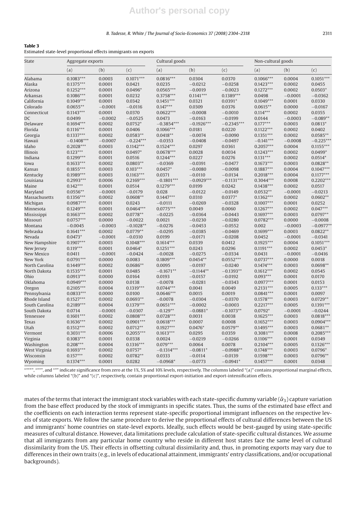#### *B. Tadesse, R. White / The Journal of Socio-Economics 37 (2008) 2304–2318* 2311

### **Table 3**

Estimated state-level proportional effects immigrants on exports

| State          | Aggregate exports |           |             | Cultural goods |              | Non-cultural goods |             |           |             |
|----------------|-------------------|-----------|-------------|----------------|--------------|--------------------|-------------|-----------|-------------|
|                | (a)               | (b)       | (c)         | (a)            | (b)          | (c)                | (a)         | (b)       | (c)         |
| Alabama        | $0.1083***$       | 0.0003    | $0.1071***$ | $0.0816***$    | 0.0304       | 0.0370             | $0.1066***$ | 0.0004    | $0.1051***$ |
| Alaska         | $0.1375***$       | 0.0001    | 0.0421      | 0.0235         | $-0.0212$    | $-0.0258$          | $0.1423***$ | 0.0002    | 0.0455      |
| Arizona        | $0.1252***$       | 0.0001    | $0.0496*$   | $0.0565***$    | $-0.0019$    | $-0.0023$          | $0.1272***$ | 0.0002    | $0.0503*$   |
| Arkansas       | $0.1086***$       | 0.0001    | 0.0232      | $0.3758***$    | $0.1141***$  | $0.1389***$        | 0.0498      | $-0.0001$ | $-0.0362$   |
| California     | $0.1049***$       | 0.0001    | 0.0342      | $0.1451***$    | 0.0321       | $0.0391*$          | $0.1049***$ | 0.0001    | 0.0330      |
| Colorado       | $0.0655**$        | $-0.0001$ | $-0.0116$   | $0.147***$     | 0.0309       | 0.0376             | $0.0615**$  | 0.0000    | $-0.0167$   |
| Connecticut    | $0.1143***$       | 0.0001    | 0.0370      | $0.0622***$    | $-0.0008$    | $-0.0010$          | $0.114***$  | 0.0002    | 0.0355      |
| DC             | 0.0499            | $-0.0002$ | $-0.0525$   | 0.0473         | $-0.0163$    | $-0.0199$          | 0.0144      | $-0.0003$ | $-0.089**$  |
| Delaware       | $0.1694***$       | 0.0002    | $0.0752*$   | $-0.3854***$   | $-0.1926***$ | $-0.2345***$       | $0.177***$  | 0.0003    | $0.0813*$   |
| Florida        | $0.1116***$       | 0.0001    | 0.0406      | $0.1066***$    | 0.0181       | 0.0220             | $0.1122***$ | 0.0002    | 0.0402      |
| Georgia        | $0.1337***$       | 0.0002    | $0.0583**$  | $0.0418**$     | $-0.0074$    | $-0.0090$          | $0.1351***$ | 0.0002    | $0.0585**$  |
| Hawaii         | $-0.1408***$      | $-0.0007$ | $-0.224***$ | $-0.0353$      | $-0.0408$    | $-0.0497$          | $-0.141***$ | $-0.0008$ | $-0.225***$ |
| Idaho          | $0.2028***$       | 0.0003    | $0.1142***$ | $0.1524***$    | 0.0297       | 0.0361             | $0.2057***$ | 0.0004    | $0.1155***$ |
| Illinois       | $0.123***$        | 0.0001    | $0.0497*$   | $0.0678***$    | 0.0028       | 0.0034             | $0.1243***$ | 0.0002    | $0.0499*$   |
| Indiana        | $0.1299***$       | 0.0001    | 0.0516      | $0.1244***$    | 0.0227       | 0.0276             | $0.131***$  | 0.0002    | $0.0514*$   |
| Iowa           | $0.1633***$       | 0.0002    | $0.0803**$  | $-0.0369$      | $-0.0391$    | $-0.0477$          | $0.1673***$ | 0.0003    | $0.0828**$  |
| Kansas         | $0.1855***$       | 0.0003    | $0.103***$  | $0.0457*$      | $-0.0080$    | $-0.0098$          | $0.1887***$ | 0.0004    | $0.1047***$ |
| Kentucky       | $0.1989***$       | 0.0003    | $0.1163***$ | 0.0371         | $-0.0110$    | $-0.0134$          | $0.2018***$ | 0.0004    | $0.1177***$ |
| Louisiana      | $0.2993***$       | 0.0006    | $0.2169***$ | $-0.1801***$   | $-0.0929***$ | $-0.1131***$       | $0.3044***$ | 0.0008    | $0.2202***$ |
| Maine          | $0.142***$        | 0.0001    | 0.0514      | $0.1279***$    | 0.0199       | 0.0242             | $0.1438***$ | 0.0002    | 0.0517      |
| Maryland       | $0.0556**$        | $-0.0001$ | $-0.0179$   | 0.028          | $-0.0122$    | $-0.0149$          | $0.0532**$  | $-0.0001$ | $-0.0213$   |
| Massachusetts  | $0.1356***$       | 0.0002    | $0.0608**$  | $0.1447***$    | 0.0310       | $0.0377*$          | $0.1362***$ | 0.0002    | $0.0602**$  |
| Michigan       | $0.0987***$       | 0.0001    | 0.0243      | $-0.0111$      | $-0.0269$    | $-0.0328$          | $0.1007***$ | 0.0001    | 0.0252      |
| Minnesota      | $0.1249***$       | 0.0001    | $0.0464***$ | $0.0775***$    | 0.0049       | 0.0060             | $0.1267***$ | 0.0002    | $0.047***$  |
| Mississippi    | $0.1663***$       | 0.0002    | $0.0778**$  | $-0.0225$      | $-0.0364$    | $-0.0443$          | $0.1697***$ | 0.0003    | $0.0797**$  |
| Missouri       | $0.0757***$       | 0.0000    | $-0.0022$   | 0.0021         | $-0.0230$    | $-0.0280$          | $0.0782***$ | 0.0000    | $-0.0008$   |
| Montana        | $-0.0045$         | $-0.0003$ | $-0.1028**$ | $-0.0276$      | $-0.0453$    | $-0.0552$          | 0.002       | $-0.0003$ | $-0.0977**$ |
| Nebraska       | $0.1641***$       | 0.0002    | $0.0779**$  | $-0.0295$      | $-0.0385$    | $-0.0469$          | $0.1699***$ | 0.0003    | $0.0822**$  |
| Nevada         | $0.0473*$         | $-0.0001$ | $-0.0310$   | 0.0199         | $-0.0171$    | $-0.0208$          | 0.0452      | $-0.0001$ | $-0.0341$   |
| New Hampshire  | $0.1907***$       | 0.0003    | $0.1048***$ | $0.1614***$    | 0.0339       | 0.0412             | $0.1925***$ | 0.0004    | $0.1051***$ |
| New Jersey     | $0.119***$        | 0.0001    | $0.0464*$   | $0.1251***$    | 0.0243       | 0.0296             | $0.1191***$ | 0.0002    | $0.0453*$   |
| New Mexico     | 0.0411            | $-0.0001$ | $-0.0424$   | $-0.0028$      | $-0.0275$    | $-0.0334$          | 0.0431      | $-0.0001$ | $-0.0416$   |
| New York       | $0.0791***$       | 0.0000    | 0.0083      | $0.1809***$    | $0.0454**$   | $0.0552***$        | $0.0737***$ | 0.0000    | 0.0018      |
| North Carolina | $0.1449***$       | 0.0002    | $0.0686**$  | 0.0095         | $-0.0197$    | $-0.0240$          | $0.1474***$ | 0.0003    | $0.0698**$  |
| North Dakota   | $0.1535***$       | 0.0001    | 0.0485      | $-0.1671**$    | $-0.1144**$  | $-0.1393**$        | $0.1612***$ | 0.0002    | 0.0545      |
| Ohio           | $0.0913***$       | 0.0000    | 0.0164      | 0.0193         | $-0.0157$    | $-0.0192$          | $0.093***$  | 0.0001    | 0.0170      |
| Oklahoma       | $0.0949***$       | 0.0000    | 0.0138      | $-0.0078$      | $-0.0281$    | $-0.0343$          | $0.0977***$ | 0.0001    | 0.0153      |
| Oregon         | $0.2105***$       | 0.0004    | $0.1319***$ | $0.0744***$    | 0.0041       | 0.0049             | $0.2131***$ | 0.0005    | $0.133***$  |
| Pennsylvania   | $0.0833***$       | 0.0000    | 0.0100      | $0.0646***$    | 0.0015       | 0.0019             | $0.0841***$ | 0.0001    | 0.0097      |
| Rhode Island   | $0.1527***$       | 0.0002    | $0.0693**$  | $-0.0078$      | $-0.0304$    | $-0.0370$          | $0.1578***$ | 0.0003    | $0.0729**$  |
| South Carolina | $0.2189***$       | 0.0004    | $0.1379***$ | $0.0651***$    | $-0.0002$    | $-0.0003$          | $0.2217***$ | 0.0005    | $0.1391***$ |
| South Dakota   | 0.0714            | $-0.0001$ | $-0.0307$   | $-0.129**$     | $-0.0881*$   | $-0.1073**$        | $0.0792*$   | $-0.0001$ | $-0.0244$   |
| Tennessee      | $0.1601***$       | 0.0002    | $0.0808***$ | $0.0728***$    | 0.0031       | 0.0038             | $0.1625***$ | 0.0003    | $0.0818***$ |
| Texas          | $0.1636***$       | 0.0002    | $0.0901***$ | $0.0618***$    | 0.0007       | 0.0008             | $0.1652***$ | 0.0003    | $0.0904***$ |
| Utah           | $0.1512***$       | 0.0002    | $0.0712**$  | $0.1927***$    | $0.0476*$    | $0.0579**$         | $0.1495***$ | 0.0003    | $0.0681**$  |
| Vermont        | $0.3031***$       | 0.0006    | $0.2055***$ | $0.1613***$    | 0.0295       | 0.0359             | $0.3081***$ | 0.0008    | $0.2085***$ |
|                | $0.1083***$       | 0.0001    | 0.0338      | 0.0024         | $-0.0219$    | $-0.0266$          | $0.1106***$ | 0.0001    | 0.0349      |
| Virginia       |                   |           |             |                |              |                    |             |           |             |
| Washington     | $0.208***$        | 0.0004    | $0.1316***$ | $0.079***$     | 0.0064       | 0.0078             | $0.2104***$ | 0.0005    | $0.1326***$ |
| West Virginia  | $0.1693***$       | 0.0002    | $0.0757*$   | $-0.1314***$   | $-0.0811*$   | $-0.0988**$        | $0.1748***$ | 0.0003    | $0.0796*$   |
| Wisconsin      | $0.157***$        | 0.0002    | $0.0782**$  | 0.0333         | $-0.0114$    | $-0.0139$          | $0.1598***$ | 0.0003    | $0.0796**$  |
| Wyoming        | $0.1374***$       | 0.0001    | 0.0282      | $-0.0968*$     | $-0.0773$    | $-0.0941*$         | $0.1457***$ | 0.0001    | 0.0348      |

"\*\*\*", "\*\*", and "\*" indicate significance from zero at the 1%, 5% and 10% levels, respectively. The columns labeled "(a)" contains proportional marginal effects, while columns labeled "(b)" and "(c)", respectively, contain proportional export-initiation and export-intensification effects.

mates of the terms that interact the immigrant stock variables with each state-specific dummy variable ( $\hat{\alpha}_3$ ) capture variation from the base effect produced by the stock of immigrants in specific states. Thus, the sums of the estimated base effect and the coefficients on each interaction terms represent state-specific proportional immigrant influences on the respective levels of state exports. We follow the same procedure to derive the proportional effects of cultural differences between the US and immigrants' home countries on state-level exports. Ideally, such effects would be best-gauged by using state-specific measures of cultural distance. However, data limitations preclude calculation of state-specific cultural distances. We assume that all immigrants from any particular home country who reside in different host states face the same level of cultural dissimilarity from the US. Their effects in offsetting cultural dissimilarity and, thus, in promoting exports may vary due to differences in their own traits (e.g., in levels of educational attainment, immigrants' entry classifications, and/or occupational backgrounds).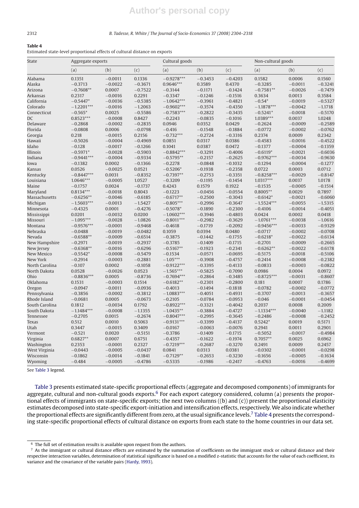#### 2312 *B. Tadesse, R. White / The Journal of Socio-Economics 37 (2008) 2304–2318*

#### **Table 4**

Estimated state-level proportional effects of cultural distance on exports

| <b>State</b>         | Aggregate exports     |                        |                        | Cultural goods           |                        |                        | Non-cultural goods     |                        |                        |  |
|----------------------|-----------------------|------------------------|------------------------|--------------------------|------------------------|------------------------|------------------------|------------------------|------------------------|--|
|                      | (a)                   | (b)                    | (c)                    | (a)                      | (b)                    | (c)                    | (a)                    | (b)                    | (c)                    |  |
| Alabama              | 0.1351                | $-0.0011$              | 0.1336                 | $-0.9278***$             | $-0.3453$              | $-0.4203$              | 0.1582                 | 0.0006                 | 0.1560                 |  |
| Alaska               | $-0.3713$             | $-0.0022$              | $-0.3671$              | $0.9646***$              | 0.3589                 | 0.4370                 | $-0.3285$              | $-0.0011$              | $-0.3241$              |  |
| Arizona              | $-0.7608**$           | 0.0007                 | $-0.7522$              | $-0.3144$                | $-0.1171$              | $-0.1424$              | $-0.7581**$            | $-0.0026$              | $-0.7479$              |  |
| <b>Arkansas</b>      | 0.2317                | $-0.0016$              | 0.2291                 | $-0.3347$                | $-0.1246$              | $-0.1516$              | 0.3634                 | 0.0013                 | 0.3584                 |  |
| California           | $-0.5447*$            | $-0.0036$              | $-0.5385$              | $-1.0642***$             | $-0.3961$              | $-0.4821$              | $-0.54*$               | $-0.0019$              | $-0.5327$              |  |
| Colorado             | $-1.2201***$          | $-0.0016$              | $-1.2063$              | $-0.9602***$             | $-0.3574$              | $-0.4350$              | $-1.1878***$           | $-0.0042$              | $-1.1718$              |  |
| Connecticut          | $-0.565*$             | 0.0025                 | $-0.5586$              | $-0.7583***$             | $-0.2822$              | $-0.3435$              | $-0.5241*$             | $-0.0018$              | $-0.5170$              |  |
| DC                   | $0.8523***$           | $-0.0008$              | 0.8427                 | $-0.2243$                | $-0.0835$              | $-0.1016$              | 1.0389***              | 0.0037                 | 1.0248                 |  |
| Delaware             | $-0.2868$             | $-0.0002$              | $-0.2835$              | 0.0946                   | 0.0352                 | 0.0429                 | $-0.2624$              | $-0.0009$              | $-0.2589$              |  |
| Florida              | $-0.0808$             | 0.0006                 | $-0.0798$              | $-0.416$                 | $-0.1548$              | $-0.1884$              | $-0.0772$              | $-0.0002$              | $-0.0762$              |  |
| Georgia              | 0.218                 | $-0.0015$              | 0.2156                 | $-0.732***$              | $-0.2724$              | $-0.3316$              | 0.2374                 | 0.0009                 | 0.2342                 |  |
| Hawaii               | $-0.5026$             | $-0.0004$              | $-0.4969$              | 0.0851                   | 0.0317                 | 0.0386                 | $-0.4583$              | $-0.0016$              | $-0.4522$              |  |
| Idaho                | $-0.128$              | $-0.0017$              | $-0.1266$              | 0.1041                   | 0.0387                 | 0.0472                 | $-0.1377$              | $-0.0004$              | $-0.1359$              |  |
| Illinois             | $-0.5971*$            | $-0.0028$              | $-0.5903$              | $-0.8842***$             | $-0.3291$              | $-0.4006$              | $-0.6119*$             | $-0.0021$              | $-0.6036$              |  |
| Indiana              | $-0.9441***$          | $-0.0004$              | $-0.9334$              | $-0.5795**$              | $-0.2157$              | $-0.2625$              | $-0.9762***$           | $-0.0034$              | $-0.9630$              |  |
| Iowa                 | $-0.1382$             | 0.0002                 | $-0.1366$              | $-0.2278$                | $-0.0848$              | $-0.1032$              | $-0.1294$              | $-0.0004$              | $-0.1277$              |  |
| Kansas               | 0.0526                | $-0.0025$              | 0.0521                 | $-0.5206*$               | $-0.1938$              | $-0.2358$              | 0.0722                 | 0.0003                 | 0.0712                 |  |
| Kentucky             | $-0.8447***$          | 0.0031                 | $-0.8352$              | $-0.7397**$              | $-0.2753$              | $-0.3351$              | $-0.8258***$           | $-0.0029$              | $-0.8147$              |  |
| Louisiana            | 1.0646***             | $-0.0005$              | 1.0527                 | $-0.3209$                | $-0.1195$              | $-0.1454$              | $1.0317***$            | 0.0037                 | 1.0178                 |  |
| Maine                | $-0.1757$             | 0.0024                 | $-0.1737$              | 0.4243                   | 0.1579                 | 0.1922                 | $-0.1535$              | $-0.0005$              | $-0.1514$              |  |
| Maryland             | $0.8134***$           | $-0.0018$              | 0.8043                 | $-0.1223$                | $-0.0456$              | $-0.0554$              | $0.8005**$             | 0.0029                 | 0.7897                 |  |
| Massachusetts        | $-0.6256**$           | $-0.0046$              | $-0.6185$              | $-0.6717**$              | $-0.2500$              | $-0.3043$              | $-0.6142*$             | $-0.0021$              | $-0.6060$              |  |
| Michigan             | $-1.5603***$          | $-0.0013$              | $-1.5427$              | $-0.805***$              | $-0.2996$              | $-0.3647$              | $-1.5524***$           | $-0.0055$              | $-1.5315$              |  |
| Minnesota            | $-0.4325$             | 0.0001                 | $-0.4276$              | $-0.5078*$               | $-0.1890$              | $-0.2300$              | $-0.4106$              | $-0.0014$              | $-0.4051$              |  |
| Mississippi          | 0.0201                | $-0.0032$              | 0.0200                 | $-1.0602***$             | $-0.3946$              | $-0.4803$              | 0.0424                 | 0.0002                 | 0.0418                 |  |
| Missouri             | $-1.095***$           | $-0.0028$              | $-1.0826$              | $-0.8011***$             | $-0.2982$              | $-0.3629$              | $-1.0761***$           | $-0.0038$              | $-1.0616$              |  |
| Montana              | $-0.9576***$          | $-0.0001$              | $-0.9468$              | $-0.4618$                | $-0.1719$              | $-0.2092$              | $-0.9456***$           | $-0.0033$              | $-0.9329$              |  |
| Nebraska             | $-0.0488$             | $-0.0019$              | $-0.0482$              | 0.1059                   | 0.0394                 | 0.0480                 | $-0.0717$              | $-0.0002$              | $-0.0708$              |  |
| Nevada               | $-0.6588**$           | $-0.0009$              | $-0.6514$              | $-0.3875$                | $-0.1442$              | $-0.1755$              | $-0.6218*$             | $-0.0022$              | $-0.6134$              |  |
| New Hampshire        | $-0.2971$             | $-0.0019$              | $-0.2937$              | $-0.3785$                | $-0.1409$              | $-0.1715$              | $-0.2701$              | $-0.0009$              | $-0.2665$              |  |
| New Jersey           | $-0.6368**$           | $-0.0016$              | $-0.6296$              | $-0.5167**$              | $-0.1923$              | $-0.2341$              | $-0.6262**$            | $-0.0022$              | $-0.6178$              |  |
| <b>New Mexico</b>    | $-0.5542*$            | $-0.0008$              | $-0.5479$              | $-0.1534$                | $-0.0571$              | $-0.0695$              | $-0.5175$              | $-0.0018$              | $-0.5106$              |  |
| New York             | $-0.2914$             | $-0.0003$              | $-0.2881$              | $-1.05***$               | $-0.3908$              | $-0.4757$              | $-0.2414$              | $-0.0008$              | $-0.2382$              |  |
| North Carolina       | $-0.107$              | 0.0002                 | $-0.1058$              | $-0.9122***$             | $-0.3395$              | $-0.4133$              | $-0.0833$              | $-0.0003$              | $-0.0822$              |  |
| North Dakota         | 0.0528                | $-0.0026$              | 0.0523                 | $-1.565***$              | $-0.5825$              | $-0.7090$              | 0.0986                 | 0.0004                 | 0.0972                 |  |
| Ohio                 | $-0.8836***$          | 0.0005                 | $-0.8736$              | $-0.7694***$             | $-0.2864$              | $-0.3485$              | $-0.8725***$           | $-0.0031$              | $-0.8607$              |  |
| Oklahoma             | 0.1531                | $-0.0003$              | 0.1514                 | $-0.6182**$              | $-0.2301$              | $-0.2800$              | 0.181                  | 0.0007                 | 0.1786                 |  |
| Oregon               | $-0.0947$             | $-0.0011$              | $-0.0936$              | $-0.4013$                | $-0.1494$              | $-0.1818$              | $-0.0782$              | $-0.0002$              | $-0.0772$              |  |
| Pennsylvania         | $-0.3856$             | $-0.0002$              | $-0.3812$              | $-1.0883***$             | $-0.4051$              | $-0.4931$              | $-0.3707$              | $-0.0013$              | $-0.3657$              |  |
| Rhode Island         | $-0.0681$             | 0.0005                 | $-0.0673$              | $-0.2105$                | $-0.0784$              | $-0.0953$              | $-0.046$               | $-0.0001$              | $-0.0454$              |  |
| South Carolina       | 0.1812                | $-0.0034$              | 0.1792                 | $-0.8922***$             | $-0.3321$              | $-0.4042$              | 0.2037                 | 0.0008                 | 0.2009                 |  |
| South Dakota         | $-1.1484***$          | $-0.0008$              | $-1.1355$              | $-1.0435**$              | $-0.3884$              | $-0.4727$              | $-1.1334***$           | $-0.0040$              | $-1.1182$              |  |
| Tennessee            | $-0.2705$             | 0.0015                 | $-0.2674$              | $-0.8047***$             | $-0.2995$              | $-0.3645$              | $-0.2486$              | $-0.0008$              | $-0.2452$              |  |
| Texas                | 0.512                 | 0.0010                 | 0.5063                 | $-0.9131***$             | $-0.3399$              | $-0.4137$              | $0.5242*$              | 0.0019                 | 0.5171                 |  |
| Utah                 | 0.3447                | $-0.0015$              | 0.3409                 | $-0.0167$                | $-0.0063$              | $-0.0076$              | 0.2941                 | 0.0011                 | 0.2901                 |  |
| Vermont              | $-0.521$              | 0.0020                 | $-0.5151$              | $-0.3786$                | $-0.1409$              | $-0.1715$              | $-0.5052$              | $-0.0017$              | $-0.4984$              |  |
| Virginia             | $0.6827**$            | 0.0007                 | 0.6751                 | $-0.4357$                | $-0.1622$              | $-0.1974$              | $0.7057**$             | 0.0025                 | 0.6962                 |  |
|                      | 0.2353                |                        | 0.2327                 | $-0.7219***$             | $-0.2687$              | $-0.3270$              |                        |                        | 0.2457                 |  |
| Washington           |                       | $-0.0001$              |                        |                          |                        |                        | 0.2491                 | 0.0009                 | $-0.0298$              |  |
| West Virginia        | $-0.0443$             | $-0.0005$              | $-0.0437$              | 0.0841                   | 0.0313                 | 0.0381                 | $-0.0302$              | $-0.0001$              |                        |  |
| Wisconsin<br>Wyoming | $-0.1862$<br>$-0.484$ | $-0.0014$<br>$-0.0005$ | $-0.1841$<br>$-0.4786$ | $-0.7129**$<br>$-0.5335$ | $-0.2653$<br>$-0.1986$ | $-0.3230$<br>$-0.2417$ | $-0.1656$<br>$-0.4763$ | $-0.0005$<br>$-0.0016$ | $-0.1634$<br>$-0.4699$ |  |

See Table 3 legend.

Table 3 presents estimated state-specific proportional effects (aggregate and decomposed components) of immigrants for aggregate, cultural and non-cultural goods exports.<sup>6</sup> For each export category considered, column (a) presents the proportional effects of immigrants on state-specific exports; the next two columns ((b) and (c)) present the proportional elasticity estimates decomposed into state-specific export-initiation and intensification effects, respectively. We also indicate whether the proportional effects are significantly different from zero, at the usual significance levels.<sup>7</sup> Table 4 presents the corresponding state-specific proportional effects of cultural distance on exports from each state to the home countries in our data set.

 $^6\,$  The full set of estimation results is available upon request from the authors.

 $7$  As the immigrant or cultural distance effects are estimated by the summation of coefficients on the immigrant stock or cultural distance and their respective interaction variables, determination of statistical significance is based on a modified z-statistic that accounts for the value of each coefficient, its variance and the covariance of the variable pairs (Hardy, 1993).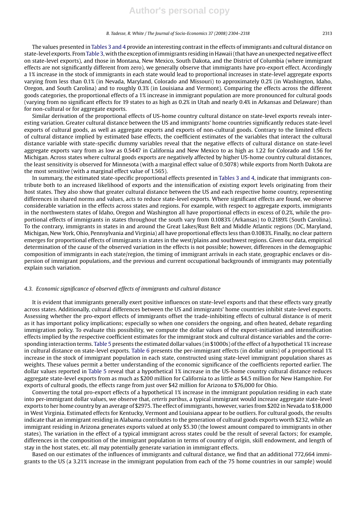The values presented in Tables 3 and 4 provide an interesting contrast in the effects of immigrants and cultural distance on state-level exports. FromTable 3, with the exception of immigrants residing in Hawaii (that have an unexpected negative effect on state-level exports), and those in Montana, New Mexico, South Dakota, and the District of Columbia (where immigrant effects are not significantly different from zero), we generally observe that immigrants have pro-export effect. Accordingly a 1% increase in the stock of immigrants in each state would lead to proportional increases in state-level aggregate exports varying from less than 0.1% (in Nevada, Maryland, Colorado and Missouri) to approximately 0.2% (in Washington, Idaho, Oregon, and South Carolina) and to roughly 0.3% (in Louisiana and Vermont). Comparing the effects across the different goods categories, the proportional effects of a 1% increase in immigrant population are more pronounced for cultural goods (varying from no significant effects for 19 states to as high as 0.2% in Utah and nearly 0.4% in Arkansas and Delaware) than for non-cultural or for aggregate exports.

Similar derivation of the proportional effects of US-home country cultural distance on state-level exports reveals interesting variation. Greater cultural distance between the US and immigrants' home countries significantly reduces state-level exports of cultural goods, as well as aggregate exports and exports of non-cultural goods. Contrary to the limited effects of cultural distance implied by estimated base effects, the coefficient estimates of the variables that interact the cultural distance variable with state-specific dummy variables reveal that the negative effects of cultural distance on state-level aggregate exports vary from as low as 0.5447 in California and New Mexico to as high as 1.22 for Colorado and 1.56 for Michigan. Across states where cultural goods exports are negatively affected by higher US-home country cultural distances, the least sensitivity is observed for Minnesota (with a marginal effect value of 0.5078) while exports from North Dakota are the most sensitive (with a marginal effect value of 1.565).

In summary, the estimated state-specific proportional effects presented in Tables 3 and 4, indicate that immigrants contribute both to an increased likelihood of exports and the intensification of existing export levels originating from their host states. They also show that greater cultural distance between the US and each respective home country, representing differences in shared norms and values, acts to reduce state-level exports. Where significant effects are found, we observe considerable variation in the effects across states and regions. For example, with respect to aggregate exports, immigrants in the northwestern states of Idaho, Oregon and Washington all have proportional effects in excess of 0.2%, while the proportional effects of immigrants in states throughout the south vary from 0.1083% (Arkansas) to 0.2189% (South Carolina). To the contrary, immigrants in states in and around the Great Lakes/Rust Belt and Middle Atlantic regions (DC, Maryland, Michigan, New York, Ohio, Pennsylvania and Virginia) all have proportional effects less than 0.1083%. Finally, no clear pattern emerges for proportional effects of immigrants in states in the west/plains and southwest regions. Given our data, empirical determination of the cause of the observed variation in the effects is not possible; however, differences in the demographic composition of immigrants in each state/region, the timing of immigrant arrivals in each state, geographic enclaves or dispersion of immigrant populations, and the previous and current occupational backgrounds of immigrants may potentially explain such variation.

#### *4.3. Economic significance of observed effects of immigrants and cultural distance*

It is evident that immigrants generally exert positive influences on state-level exports and that these effects vary greatly across states. Additionally, cultural differences between the US and immigrants' home countries inhibit state-level exports. Assessing whether the pro-export effects of immigrants offset the trade-inhibiting effects of cultural distance is of merit as it has important policy implications; especially so when one considers the ongoing, and often heated, debate regarding immigration policy. To evaluate this possibility, we compute the dollar values of the export-initiation and intensification effects implied by the respective coefficient estimates for the immigrant stock and cultural distance variables and the corresponding interaction terms. Table 5 presents the estimated dollar values (in \$1000s) of the effect of a hypothetical 1% increase in cultural distance on state-level exports. Table 6 presents the per-immigrant effects (in dollar units) of a proportional 1% increase in the stock of immigrant population in each state, constructed using state-level immigrant population shares as weights. These values permit a better understanding of the economic significance of the coefficients reported earlier. The dollar values reported in Table 5 reveal that a hypothetical 1% increase in the US-home country cultural distance reduces aggregate state-level exports from as much as \$200 million for California to as little as \$4.5 million for New Hampshire. For exports of cultural goods, the effects range from just over \$42 million for Arizona to \$76,000 for Ohio.

Converting the total pro-export effects of a hypothetical 1% increase in the immigrant population residing in each state into per-immigrant dollar values, we observe that, *ceteris paribus*, a typical immigrant would increase aggregate state-level exports to her home country by an average of \$2975. The effect of immigrants, however, varies from \$202 in Nevada to \$18,000 in West Virginia. Estimated effects for Kentucky, Vermont and Louisiana appear to be outliers. For cultural goods, the results indicate that an immigrant residing in Alabama contributes to the generation of cultural goods exports worth \$232, while an immigrant residing in Arizona generates exports valued at only \$5.30 (the lowest amount compared to immigrants in other states). The variation in the effect of a typical immigrant across states could be the result of several factors; for example, differences in the composition of the immigrant population in terms of country of origin, skill endowment, and length of stay in the host states, etc. all may potentially generate variation in immigrant effects.

Based on our estimates of the influences of immigrants and cultural distance, we find that an additional 772,664 immigrants to the US (a 3.21% increase in the immigrant population from each of the 75 home countries in our sample) would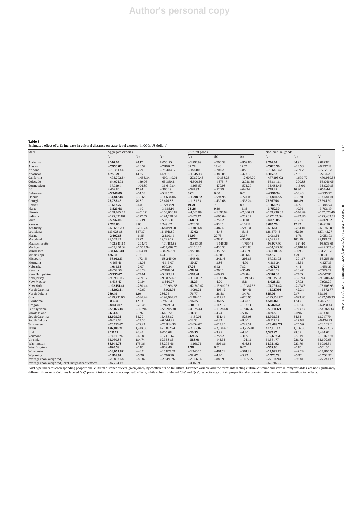**Table 5** Estimated effect of a 1% increase in cultural distance on state-level exports (in'000s US dollars)

| State                                               | Aggregate exports |                          |                          | Cultural goods |                          |                          | Non-cultural goods     |                   |                          |  |
|-----------------------------------------------------|-------------------|--------------------------|--------------------------|----------------|--------------------------|--------------------------|------------------------|-------------------|--------------------------|--|
|                                                     | (a)               | (b)                      | (c)                      | (a)            | (b)                      | (c)                      | (a)                    | (b)               | (c)                      |  |
| Alabama                                             | 8,146.70          | 24.12                    | 8,056.25                 | $-1,897.99$    | $-706.38$                | $-859.80$                | 9,216.04               | 34.95             | 9,087.87                 |  |
| Alaska                                              | $-7,956.67$       | $-23.57$                 | $-7,866.67$              | 38.78          | 14.43                    | 17.57                    | $-7,026.30$            | $-23.53$          | $-6,932.18$              |  |
| Arizona                                             | $-79,381.44$      | $-229.55$                | $-78,484.12$             | $-188.00$      | $-70.02$                 | $-85.15$                 | $-78,646.42$           | $-269.73$         | $-77,588.25$             |  |
| Arkansas                                            | 4,750.21          | 14.35                    | 4,696.91                 | $-1,045.13$    | $-389.08$                | $-473.39$                | 6,315.52               | 22.59             | 6,228.62                 |  |
| California                                          | $-495,792.34$     | $-1,456.34$              | $-490,149.03$            | $-27,829.46$   | $-10,358.25$             | $-12,607.20$             | $-477,393.02$          | $-1,679.72$       | $-470,939.38$            |  |
| Colorado                                            | $-64,074.93$      | $-189.06$                | $-63,350.21$             | $-4,500.56$    | $-1,675.17$              | $-2,038.89$              | $-56,811.31$           | $-200.88$         | $-56,046.05$             |  |
| Connecticut                                         | $-37,039.41$      | $-104.89$                | $-36,619.84$             | $-1,265.57$    | $-470.98$                | $-573.29$                | $-33,483.45$           | $-115.00$         | $-33,029.85$             |  |
| DC                                                  | 4,409.86          | 12.94                    | 4,360.19                 | $-141.82$      | $-52.79$                 | $-64.24$                 | 4,718.48               | 16.80             | 4,654.44                 |  |
| Delaware                                            | $-5,246.09$       | $-14.63$                 | $-5,185.73$              | 0.01           | 0.00                     | 0.01                     | $-4,799.74$            | $-16.46$          | $-4,735.72$              |  |
| Florida                                             | $-14,817.44$      | $-36.68$                 | $-14,634.06$             | $-1,598.82$    | $-594.95$                | $-724.08$                | $-13,860.55$           | $-35.91$          | $-13,681.01$             |  |
| Georgia                                             | 25,758.46         | 70.89                    | 25,474.88                | $-1,181.53$    | $-439.68$                | $-535.24$                | 27,667.54              | 104.89            | 27,294.60                |  |
| Hawaii                                              | $-1,612.27$       | $-4.81$                  | $-1,593.99$              | 19.21          | 7.15                     | 8.71                     | $-1,366.73$            | $-4.77$           | $-1,348.54$              |  |
| Idaho                                               | $-3,523.68$       | $-11.01$                 | $-3,485.14$              | 25.26          | 9.39                     | 11.45                    | $-3,757.30$            | $-10.91$          | $-3,708.19$              |  |
| Illinois                                            | $-158,465.53$     | $-451.17$                | $-156,660.87$            | $-4,561.89$    | $-1,697.94$              | $-2,066.83$              | $-159,236.33$          | $-546.49$         | $-157,076.40$            |  |
| Indiana                                             | $-125,621.80$     | $-372.57$                | $-124,198.06$            | $-1,627.12$    | $-605.64$                | $-737.05$                | $-127,152.04$          | $-442.86$         | $-125,432.71$            |  |
| Iowa                                                | $-5,247.06$       | $-15.19$                 | $-5,186.31$              | $-68.83$       | $-25.62$                 | $-31.18$                 | $-4,873.85$            | $-15.07$          | $-4,809.82$              |  |
| Kansas                                              | 2,270.60          | 8.63                     | 2,249.02                 | $-223.37$      | $-83.15$                 | $-101.17$                | 3,085.70               | 12.82             | 3,042.96                 |  |
| Kentucky                                            | $-69,683.20$      | $-206.24$                | $-68,899.50$             | $-1,309.68$    | $-487.43$                | $-593.31$                | $-66,661.93$           | $-234.10$         | $-65,765.89$             |  |
| Louisiana                                           | 133,028.88        | 387.37                   | 131,541.89               | $-12.02$       | $-4.48$                  | $-5.45$                  | 128,879.15             | 462.20            | 127,142.77               |  |
| Maine                                               | $-2,407.85$       | $-6.85$                  | $-2,380.44$              | 61.09          | 22.73                    | 27.67                    | $-2,081.51$            | $-6.78$           | $-2,053.03$              |  |
| Maryland                                            | 29,559.82         | 87.22                    | 29,229.12                | $-77.27$       | $-28.81$                 | $-35.00$                 | 28,585.25              | 103.56            | 28,199.59                |  |
| Massachusetts                                       | $-102,343.34$     | $-294.47$                | $-101,181.83$            | $-3,883.09$    | $-1,445.25$              | $-1,759.15$              | $-96,927.70$           | $-331.40$         | $-95,633.65$             |  |
|                                                     | $-459,250.04$     | $-1,353.94$              | $-454,069.76$            | $-1,156.25$    | $-430.33$                | $-523.83$                | $-454,695.03$          | $-1,610.94$       | $-448,573.46$            |  |
| Michigan                                            | $-34,660.40$      | $-104.18$                | $-34,267,71$             | $-958.04$      | $-356.58$                | $-433.93$                |                        |                   | $-31,700.29$             |  |
| Minnesota                                           | 426.68            | 2.12                     | 424.55                   | $-180.22$      | $-67.08$                 | $-81.64$                 | $-32,130.68$<br>892.85 | $-109.55$<br>4.21 | 880.21                   |  |
| Mississippi                                         |                   |                          |                          |                |                          |                          |                        |                   |                          |  |
| Missouri                                            | $-58,912.13$      | $-172.16$                | $-58,245.00$             | $-648.68$      | $-241.46$                | $-293.85$                | $-57,023.93$           | $-201.37$         | $-56,255.56$             |  |
| Montana                                             | $-4,463.41$       | $-13.05$                 | $-4,413.07$              | $-10.37$       | $-3.86$                  | $-4.70$                  | $-4,386.24$            | $-15.31$          | $-4,327.33$              |  |
| Nebraska                                            | $-1,011.68$       | $-2.07$                  | $-999.24$                | 17.26          | 6.42                     | 7.82                     | $-1,474.74$            | $-4.11$           | $-1,456.23$              |  |
| Nevada                                              | $-8,058.56$       | $-23.24$                 | $-7,968.04$              | $-78.36$       | $-29.16$                 | $-35.49$                 | $-7,480.22$            | $-26.47$          | $-7,379.17$              |  |
| New Hampshire                                       | $-5,755.67$       | $-17.44$                 | $-5,689.81$              | $-163.41$      | $-60.83$                 | $-74.04$                 | $-5,116.00$            | $-17.05$          | $-5,047.81$              |  |
| New Jersey                                          | $-96,969.05$      | $-289.32$                | $-95,872.67$             | $-3,068.92$    | $-1,142.16$              | $-1,390.43$              | $-91,635.64$           | $-321.94$         | $-90,406.42$             |  |
| New Mexico                                          | $-8,638.47$       | $-24.94$                 | $-8,540.27$              | $-11.29$       | $-4.20$                  | $-5.11$                  | $-8,028.33$            | $-27.92$          | $-7,921.29$              |  |
| New York                                            | $-102,151.41$     | $-280.44$                | $-100,994.58$            | $-42,749.42$   | $-15,910.93$             | $-19,367.52$             | $-74,795.42$           | $-247.87$         | $-73,803.93$             |  |
| North Carolina                                      | $-15,192.31$      | $-42.60$                 | $-15,021.93$             | $-1,091.21$    | $-406.12$                | $-494.41$                | $-11,727.64$           | $-42.24$          | $-11,572.77$             |  |
| North Dakota                                        | 289.49            | 1.10                     | 286.75                   | $-76.77$       | $-28.58$                 | $-34.78$                 | 535.76                 | 2.17              | 528.16                   |  |
| Ohio                                                | $-199,231.03$     | $-586.24$                | $-196,976.27$            | $-1,384.15$    | $-515.23$                | $-626.95$                | $-195,158.62$          | $-693.40$         | $-192,519.23$            |  |
| Oklahoma                                            | 3,835.43          | 12.53                    | 3,792.84                 | $-96.85$       | $-36.05$                 | $-43.87$                 | 4,506.02               | 17.43             | 4,446.27                 |  |
| Oregon                                              | $-8,043.07$       | $-25.48$                 | $-7,949.64$              | $-303.13$      | $-112.85$                | $-137.33$                | $-6,582.62$            | $-16.84$          | $-6,498.44$              |  |
| Pennsylvania                                        | $-58,877.14$      | $-167.96$                | $-58,205.30$             | $-4,375.44$    | $-1,628.68$              | $-1,982.47$              | $-55,111.69$           | $-193.27$         | $-54,368.34$             |  |
| Rhode Island                                        | $-654.40$         | $-1.92$                  | $-646.72$                | $-11.39$       | $-4.24$                  | $-5.16$                  | $-439.55$              | $-0.96$           | $-433.81$                |  |
| South Carolina                                      | 12,608.03         | 34.79                    | 12,468.87                | $-1,159.01$    | $-431.41$                | $-525.08$                | 13,908.98              | 54.63             | 13,717.79                |  |
| South Dakota                                        | $-6,618.63$       | $-19.60$                 | $-6,544.28$              | $-18.33$       | $-6.82$                  | $-8.30$                  | $-6,512.27$            | $-22.98$          | $-6,424.93$              |  |
| Tennessee                                           | $-26,113.62$      | $-77.23$                 | $-25,814.36$             | $-1,654.67$    | $-615.85$                | $-749.51$                | $-23,488.25$           | $-75.59$          | $-23,167.01$             |  |
| Texas                                               | 426,106.71        | 1,248.36                 | 421,362.94               | $-7,185.16$    | $-2,674.67$              | $-3,255.40$              | 432,135.12             | 1,566.30          | 426,282.08               |  |
| Utah                                                | 9,111.12          | 26.43                    | 9,010.68                 | $-10.55$       | $-3.98$                  | $-4.80$                  | 7,587.87               | 28.38             | 7,484.67                 |  |
| Vermont                                             | $-17,315.76$      | $-49.85$                 | $-17,119.67$             | $-69.65$       | $-25.92$                 | $-31.55$                 | $-16,697.70$           | $-56.19$          | $-16,472.94$             |  |
| Virginia                                            | 63,060.86         | 184.74                   | 62,358.85                | $-385.01$      | $-143.33$                | $-174.43$                | 64,561.77              | 228.72            | 63,692.65                |  |
| Washington                                          | 58,944.78         | 175.36                   | 58,293.46                | $-1,361.74$    | $-506.86$                | $-616.83$                | 61,931.92              | 223.76            | 61,086.61                |  |
| West Virginia                                       | $-820.58$         | $-1.85$                  | $-809.46$                | 1.38           | 0.51                     | 0.62                     | $-558.90$              | $-1.85$           | $-551.50$                |  |
| Wisconsin                                           | $-16,055.82$      | $-43.11$                 | $-15,874.74$             | $-1,240.15$    | $-461.51$                | $-561.89$                | $-13,991.43$           | $-42.24$          | $-13,805.55$             |  |
| Wyoming                                             | $-1,816.97$       | $-5.26$                  | $-1,796.70$              | $-12.62$       | $-4.70$                  | $-5.72$                  | $-1,776.79$            | $-5.97$           | $-1,752.92$              |  |
| Average (non-weighted)                              | $-29,833.64$      | $-86.82$                 | $-29,491.92$             | $-2,366.86$    | $-880.95$                | $-1,072.27$              | $-27,614.94$           | $-93.81$          | $-27,244.12$             |  |
| Average (non-weighted), excl. insignificant effects | $-87,224.19$      | $\overline{\phantom{a}}$ | $\overline{\phantom{a}}$ | $-4,165.95$    | $\overline{\phantom{a}}$ | $\overline{\phantom{0}}$ | $-62,716.22$           | $\qquad \qquad -$ | $\overline{\phantom{a}}$ |  |

Average (non-weighted), excl. insignificant effects ——87,224.19 ——97,224.19 ——4,165.95 ——4,165.95 ——4,165.95 ——62,716.22<br>Bold type indicates corresponding proportional cultural distance effects, given jointly by coefficien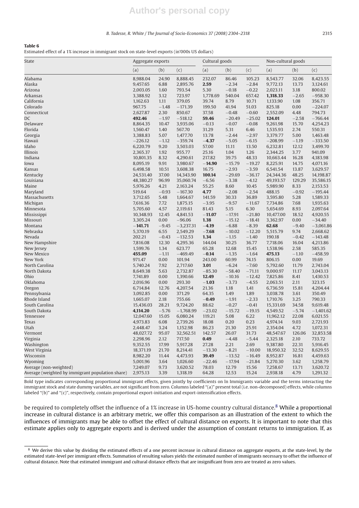#### *B. Tadesse, R. White / The Journal of Socio-Economics 37 (2008) 2304–2318* 2315

| . .<br>$\sim$<br>۰. |
|---------------------|
|---------------------|

Estimated effect of a 1% increase in immigrant stock on state-level exports (in'000s US dollars)

| <b>State</b>                                     | Aggregate exports |         |             | Cultural goods |          |          | Non-cultural goods |         |             |
|--------------------------------------------------|-------------------|---------|-------------|----------------|----------|----------|--------------------|---------|-------------|
|                                                  | (a)               | (b)     | (c)         | (a)            | (b)      | (c)      | (a)                | (b)     | (c)         |
| Alabama                                          | 8,988.04          | 24.90   | 8,888.45    | 232.07         | 86.46    | 105.23   | 8,543.77           | 32.06   | 8,423.55    |
| Alaska                                           | 9,457.65          | 6.88    | 2,895.76    | 2.59           | $-2.34$  | $-2.84$  | 9,772.13           | 13.73   | 3,124.61    |
| Arizona                                          | 2,003.05          | 1.60    | 793.54      | 5.30           | $-0.18$  | $-0.22$  | 2,023.11           | 3.18    | 800.02      |
| Arkansas                                         | 3,388.92          | 3.12    | 723.97      | 1,778.69       | 540.04   | 657.42   | 1,318.33           | $-2.65$ | $-958.30$   |
| California                                       | 1,162.63          | 1.11    | 379.05      | 39.74          | 8.79     | 10.71    | 1,133.90           | 1.08    | 356.71      |
| Colorado                                         | 967.75            | $-1.48$ | $-171.39$   | 199.50         | 41.94    | 51.03    | 825.18             | 0.00    | $-224.07$   |
| Connecticut                                      | 2,627.87          | 2.30    | 850.67      | 37.58          | $-0.48$  | $-0.60$  | 2,552.09           | 4.48    | 794.73      |
| DC                                               | 492.46            | $-1.97$ | $-518.12$   | 59.46          | $-20.49$ | $-25.02$ | 124.01             | $-2.58$ | $-766.44$   |
| Delaware                                         | 8,864.35          | 10.47   | 3,935.06    | $-0.13$        | $-0.07$  | $-0.08$  | 9,261.98           | 15.70   | 4,254.23    |
| Florida                                          | 1,560.47          | 1.40    | 567.70      | 31.29          | 5.31     | 6.46     | 1,535.93           | 2.74    | 550.31      |
| Georgia                                          | 3,388.83          | 5.07    | 1,477.70    | 13.78          | $-2.44$  | $-2.97$  | 3,379.77           | 5.00    | 1,463.48    |
| Hawaii                                           | $-226.12$         | $-1.12$ | $-359.74$   | $-4.37$        | $-5.05$  | $-6.15$  | $-208.99$          | $-1.19$ | $-333.50$   |
| Idaho                                            | 6,220.79          | 9.20    | 3,503.03    | 57.00          | 11.11    | 13.50    | 6,232.81           | 12.12   | 3,499.70    |
| Illinois                                         | 2,365.37          | 1.92    | 955.77      | 25.16          | 1.04     | 1.26     | 2,344.25           | 3.77    | 941.09      |
| Indiana                                          | 10,801.35         | 8.32    | 4,290.61    | 217.82         | 39.75    | 48.33    | 10,663.44          | 16.28   | 4,183.98    |
| Iowa                                             | 8,095.19          | 9.91    | 3,980.67    | $-14.90$       | $-15.79$ | $-19.27$ | 8,225.91           | 14.75   | 4,071.16    |
| Kansas                                           | 6,498.58          | 10.51   | 3,608.38    | 16.75          | $-2.93$  | $-3.59$  | 6,541.54           | 13.87   | 3,629.57    |
| Kentucky                                         | 24,531.40         | 37.00   | 14,343.90   | 100.14         | $-29.69$ | $-36.17$ | 24,344.36          | 48.25   | 14,198.87   |
| Louisiana                                        | 48,380.27         | 96.99   | 35,060.74   | $-6.56$        | $-3.38$  | $-4.12$  | 49,193.57          | 129.29  | 35,586.15   |
| Maine                                            | 5,976.26          | 4.21    | 2,163.24    | 55.25          | 8.60     | 10.45    | 5,989.90           | 8.33    | 2,153.53    |
| Maryland                                         | 519.64            | $-0.93$ | $-167.30$   | 4.77           | $-2.08$  | $-2.54$  | 488.15             | $-0.92$ | $-195.44$   |
| Massachusetts                                    | 3,712.65          | 5.48    | 1,664.67    | 141.59         | 30.33    | 36.89    | 3,595.80           | 5.28    | 1,589.33    |
| Michigan                                         | 7,616.36          | 7.72    | 1,875.15    | $-3.95$        | $-9.57$  | $-11.67$ | 7,734.86           | 7.68    | 1,935.63    |
| Minnesota                                        | 5,705.60          | 4.57    | 2,119.61    | 81.43          | 5.15     | 6.30     | 5,654.69           | 8.93    | 2,097.64    |
| Mississippi                                      | 10,348.93         | 12.45   | 4,841.53    | $-11.07$       | $-17.91$ | $-21.80$ | 10,477.00          | 18.52   | 4,920.55    |
| Missouri                                         | 3,305.24          | 0.00    | $-96.06$    | 1.38           | $-15.12$ | $-18.41$ | 3,362.97           | 0.00    | $-34.40$    |
| Montana                                          | $-141.71$         | $-9.45$ | $-3,237.31$ | $-4.19$        | $-6.88$  | $-8.39$  | 62.68              | $-9.40$ | $-3,061.86$ |
| Nebraska                                         | 5,370.19          | 6.55    | 2,549.29    | $-7.68$        | $-10.02$ | $-12.20$ | 5,515.79           | 9.74    | 2,668.62    |
| Nevada                                           | 202.21            | $-0.43$ | $-132.53$   | 1.34           | $-1.15$  | $-1.40$  | 190.18             | $-0.42$ | $-143.48$   |
| New Hampshire                                    | 7,816.08          | 12.30   | 4,295.36    | 144.04         | 30.25    | 36.77    | 7,718.06           | 16.04   | 4,213.86    |
| New Jersey                                       | 1,599.76          | 1.34    | 623.77      | 65.28          | 12.68    | 15.45    | 1,538.96           | 2.58    | 585.35      |
| New Mexico                                       | 455.09            | $-1.11$ | $-469.49$   | $-0.14$        | $-1.35$  | $-1.64$  | 475.13             | $-1.10$ | $-458.59$   |
| New York                                         | 971.47            | 0.00    | 101.94      | 243.00         | 60.99    | 74.15    | 806.15             | 0.00    | 19.69       |
| North Carolina                                   | 5,740.24          | 7.92    | 2,717.60    | 3.01           | $-6.24$  | $-7.60$  | 5,792.60           | 11.79   | 2,743.04    |
| North Dakota                                     | 8,649.38          | 5.63    | 2,732.87    | $-85.30$       | $-58.40$ | $-71.11$ | 9,000.97           | 11.17   | 3,043.13    |
| Ohio                                             | 7,741.89          | 0.00    | 1,390.66    | 12.49          | $-10.16$ | $-12.42$ | 7,825.86           | 8.41    | 1,430.53    |
| Oklahoma                                         | 2,016.96          | 0.00    | 293.30      | $-1.03$        | $-3.73$  | $-4.55$  | 2,063.51           | 2.11    | 323.15      |
| Oregon                                           | 6,714.84          | 12.76   | 4,207.54    | 21.36          | 1.18     | 1.41     | 6,736.59           | 15.81   | 4,204.44    |
| Pennsylvania                                     | 3,092.85          | 0.00    | 371.29      | 64.35          | 1.49     | 1.89     | 3,038.78           | 3.61    | 350.49      |
| Rhode Island                                     | 1,665.07          | 2.18    | 755.66      | $-0.49$        | $-1.91$  | $-2.33$  | 1,710.76           | 3.25    | 790.33      |
| South Carolina                                   | 15,436.03         | 28.21   | 9,724.20    | 88.62          | $-0.27$  | $-0.41$  | 15,331.69          | 34.58   | 9,619.48    |
| South Dakota                                     | 4,114.20          | $-5.76$ | $-1,768.99$ | $-23.02$       | $-15.72$ | $-19.15$ | 4,549.52           | $-5.74$ | $-1,401.62$ |
| Tennessee                                        | 12,047.60         | 15.05   | 6,080.24    | 119.21         | 5.08     | 6.22     | 11,962.12          | 22.08   | 6,021.55    |
| <b>Texas</b>                                     | 4,973.83          | 6.08    | 2,739.26    | 18.08          | 0.20     | 0.23     | 4,974.14           | 9.03    | 2,721.93    |
| Utah                                             | 2,448.47          | 3.24    | 1,152.98    | 86.23          | 21.30    | 25.91    | 2,354.04           | 4.72    | 1,072.31    |
| Vermont                                          | 48,027.72         | 95.07   | 32,562.51   | 142.57         | 26.07    | 31.73    | 48,547.67          | 126.06  | 32,853.58   |
| Virginia                                         | 2,298.96          | 2.12    | 717.50      | 0.49           | $-4.48$  | $-5.44$  | 2,325.18           | 2.10    | 733.72      |
| Washington                                       | 9,352.55          | 17.99   | 5,917.28    | 27.28          | 2.21     | 2.69     | 9,387.80           | 22.31   | 5,916.45    |
| West Virginia                                    | 18,371.19         | 21.70   | 8,214.41    | $-13.30$       | $-8.21$  | $-10.00$ | 18,950.32          | 32.52   | 8,629.55    |
| Wisconsin                                        | 8,982.20          | 11.44   | 4,473.93    | 39.49          | $-13.52$ | $-16.49$ | 8,952.87           | 16.81   | 4,459.63    |
| Wyoming                                          | 5,001.96          | 3.64    | 1,026.60    | $-22.46$       | $-17.94$ | $-21.84$ | 5,270.30           | 3.62    | 1,258.79    |
| Average (non-weighted)                           | 7,249.07          | 9.73    | 3,620.52    | 78.03          | 12.79    | 15.56    | 7,258.67           | 13.71   | 3,620.72    |
| Average (weighted by immigrant population share) | 2,975.13          | 3.39    | 1,318.19    | 64.28          | 12.53    | 15.24    | 2,938.18           | 4.79    | 1,291.32    |

Bold type indicates corresponding proportional immigrant effects, given jointly by coefficients on ln Immigrants variable and the terms interacting the immigrant stock and state dummy variables, are not significant from zero. Columns labeled "(a)" present total (i.e. non-decomposed) effects, while columns labeled "(b)" and "(c)", respectively, contain proportional export-initiation and export-intensification effects.

be required to completely offset the influence of a 1% increase in US-home country cultural distance.<sup>8</sup> While a proportional increase in cultural distance is an arbitrary metric, we offer this comparison as an illustration of the extent to which the influences of immigrants may be able to offset the effect of cultural distance on exports. It is important to note that this estimate applies only to aggregate exports and is derived under the assumption of constant returns to immigration. If, as

<sup>&</sup>lt;sup>8</sup> We derive this value by dividing the estimated effects of a one percent increase in cultural distance on aggregate exports, at the state-level, by the estimated state-level per immigrant effects. Summation of resulting values yields the estimated number of immigrants necessary to offset the influence of cultural distance. Note that estimated immigrant and cultural distance effects that are insignificant from zero are treated as zero values.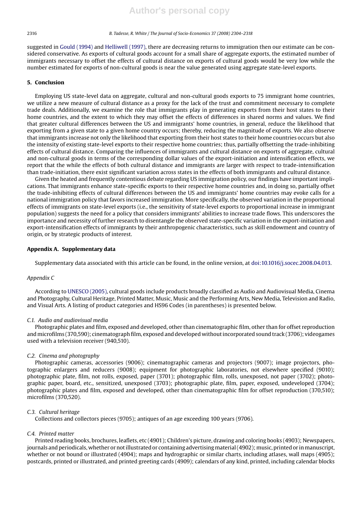suggested in Gould (1994) and Helliwell (1997), there are decreasing returns to immigration then our estimate can be considered conservative. As exports of cultural goods account for a small share of aggregate exports, the estimated number of immigrants necessary to offset the effects of cultural distance on exports of cultural goods would be very low while the number estimated for exports of non-cultural goods is near the value generated using aggregate state-level exports.

#### **5. Conclusion**

Employing US state-level data on aggregate, cultural and non-cultural goods exports to 75 immigrant home countries, we utilize a new measure of cultural distance as a proxy for the lack of the trust and commitment necessary to complete trade deals. Additionally, we examine the role that immigrants play in generating exports from their host states to their home countries, and the extent to which they may offset the effects of differences in shared norms and values. We find that greater cultural differences between the US and immigrants' home countries, in general, reduce the likelihood that exporting from a given state to a given home country occurs; thereby, reducing the magnitude of exports. We also observe that immigrants increase not only the likelihood that exporting from their host states to their home countries occurs but also the intensity of existing state-level exports to their respective home countries; thus, partially offsetting the trade-inhibiting effects of cultural distance. Comparing the influences of immigrants and cultural distance on exports of aggregate, cultural and non-cultural goods in terms of the corresponding dollar values of the export-initiation and intensification effects, we report that the while the effects of both cultural distance and immigrants are larger with respect to trade-intensification than trade-initiation, there exist significant variation across states in the effects of both immigrants and cultural distance.

Given the heated and frequently contentious debate regarding US immigration policy, our findings have important implications. That immigrants enhance state-specific exports to their respective home countries and, in doing so, partially offset the trade-inhibiting effects of cultural differences between the US and immigrants' home countries may evoke calls for a national immigration policy that favors increased immigration. More specifically, the observed variation in the proportional effects of immigrants on state-level exports (i.e., the sensitivity of state-level exports to proportional increase in immigrant population) suggests the need for a policy that considers immigrants' abilities to increase trade flows. This underscores the importance and necessity of further research to disentangle the observed state-specific variation in the export-initiation and export-intensification effects of immigrants by their anthropogenic characteristics, such as skill endowment and country of origin, or by strategic products of interest.

#### **Appendix A. Supplementary data**

Supplementary data associated with this article can be found, in the online version, at doi:10.1016/j.socec.2008.04.013.

#### *Appendix C*

According to UNESCO (2005), cultural goods include products broadly classified as Audio and Audiovisual Media, Cinema and Photography, Cultural Heritage, Printed Matter, Music, Music and the Performing Arts, New Media, Television and Radio, and Visual Arts. A listing of product categories and HS96 Codes (in parentheses) is presented below.

#### *C.1. Audio and audiovisual media*

Photographic plates and film, exposed and developed, other than cinematographic film, other than for offset reproduction andmicrofilms (370,590); cinematograph film, exposed and developed without incorporated sound track (3706); videogames used with a television receiver (940,510).

#### *C.2. Cinema and photography*

Photographic cameras, accessories (9006); cinematographic cameras and projectors (9007); image projectors, photographic enlargers and reducers (9008); equipment for photographic laboratories, not elsewhere specified (9010); photographic plate, film, not rolls, exposed, paper (3701); photographic film, rolls, unexposed, not paper (3702); photographic paper, board, etc., sensitized, unexposed (3703); photographic plate, film, paper, exposed, undeveloped (3704); photographic plates and film, exposed and developed, other than cinematographic film for offset reproduction (370,510); microfilms (370,520).

#### *C.3. Cultural heritage*

Collections and collectors pieces (9705); antiques of an age exceeding 100 years (9706).

#### *C.4. Printed matter*

Printed reading books, brochures, leaflets, etc (4901); Children's picture, drawing and coloring books (4903); Newspapers, journals and periodicals, whether or not illustrated or containing advertising material (4902); music, printed or in manuscript, whether or not bound or illustrated (4904); maps and hydrographic or similar charts, including atlases, wall maps (4905); postcards, printed or illustrated, and printed greeting cards (4909); calendars of any kind, printed, including calendar blocks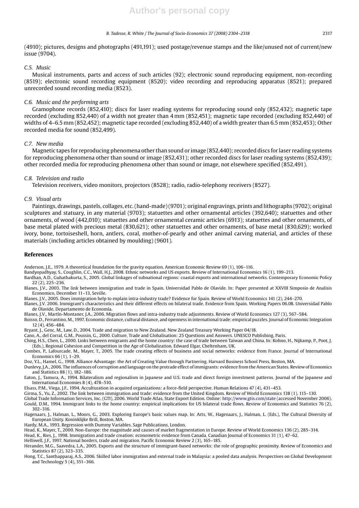(4910); pictures, designs and photographs (491,191); used postage/revenue stamps and the like/unused not of current/new issue (9704).

#### *C.5. Music*

Musical instruments, parts and access of such articles (92); electronic sound reproducing equipment, non-recording (8519); electronic sound recording equipment (8520); video recording and reproducing apparatus (8521); prepared unrecorded sound recording media (8523).

#### *C.6. Music and the performing arts*

Gramophone records (852,410); discs for laser reading systems for reproducing sound only (852,432); magnetic tape recorded (excluding 852,440) of a width not greater than 4 mm (852,451); magnetic tape recorded (excluding 852,440) of widths of 4–6.5 mm (852,452); magnetic tape recorded (excluding 852,440) of a width greater than 6.5 mm (852,453); Other recorded media for sound (852,499).

#### *C.7. New media*

Magnetic tapes for reproducing phenomena other than sound or image (852,440); recorded discs for laser reading systems for reproducing phenomena other than sound or image (852,431); other recorded discs for laser reading systems (852,439); other recorded media for reproducing phenomena other than sound or image, not elsewhere specified (852,491).

#### *C.8. Television and radio*

Television receivers, video monitors, projectors (8528); radio, radio-telephony receivers (8527).

#### *C.9. Visual arts*

Paintings, drawings, pastels, collages, etc. (hand-made) (9701); original engravings, prints and lithographs (9702); original sculptures and statuary, in any material (9703); statuettes and other ornamental articles (392,640); statuettes and other ornaments, of wood (442,010); statuettes and other ornamental ceramic articles (6913); statuettes and other ornaments, of base metal plated with precious metal (830,621); other statuettes and other ornaments, of base metal (830,629); worked ivory, bone, tortoiseshell, horn, antlers, coral, mother-of-pearly and other animal carving material, and articles of these materials (including articles obtained by moulding) (9601).

#### **References**

Anderson, J.E., 1979. A theoretical foundation for the gravity equation. American Economic Review 69 (1), 106–116.

- Bandyopadhyay, S., Coughlin, C.C., Wall, H.J., 2008. Ethnic networks and US exports. Review of International Economics 16 (1), 199–213.
- Bardhan, A.D., Guhathakurta, S., 2005. Global linkages of subnational regions: coastal exports and international networks. Contemporary Economic Policy 22 (2), 225–236.
- Blanes, J.V., 2003. The link between immigration and trade in Spain. Universidad Pablo de Olavide. In: Paper presented at XXVIII Simposio de Analisis Economico, December 11–13, Seville.
- Blanes, J.V., 2005. Does immigration help to explain intra-industry trade? Evidence for Spain. Review of World Economics 141 (2), 244–270.

Blanes, J.V. 2006. Immigrant's characteristics and their different effects on bilateral trade. Evidence from Spain. Working Papers 06.08. Universidad Pablo de Olavide, Departamento de Economía.

- Blanes, J.V., Martín-Montaner, J.A., 2006. Migration flows and intra-industry trade adjustments. Review of World Economics 127 (3), 567-584.
- Boisso, D., Ferrantino, M., 1997. Economic distance, cultural distance, and openness in international trade: empirical puzzles. Journal of Economic Integration 12 (4), 456–484.
- Bryant, J., Genc, M., Law, D., 2004. Trade and migration to New Zealand. New Zealand Treasury Working Paper 04/18.
- Cano, A., del Corral, G.M., Poussin, G., 2000. Culture, Trade and Globalisation: 25 Questions and Answers. UNESCO Publishing, Paris.
- Ching, H.S., Chen, L., 2000. Links between emigrants and the home country: the case of trade between Taiwan and China. In: Kohno, H., Nijkamp, P., Poot, J. (Eds.), Regional Cohesion and Competition in the Age of Globalization. Edward Elgar, Cheltenham, UK.
- Combes, P., Lafourcade, M., Mayer, T., 2005. The trade creating effects of business and social networks: evidence from France. Journal of International Economics 66 (1), 1–29.
- Doz, Y.L., Hamel, G., 1998. Alliance Advantage: the Art of Creating Value through Partnering. Harvard Business School Press, Boston, MA.
- Dunlevy, J.A., 2006. The influences of corruption and language on the protrade effect of immigrants: evidence from the American States. Review of Economics and Statistics 88 (1), 182–186.
- Eaton, J., Tamura, A., 1994. Bilateralism and regionalism in Japanese and U.S. trade and direct foreign investment patterns. Journal of the Japanese and International Economies 8 (4), 478–510.

Elsass, P.M., Viega, J.F., 1994. Acculturation in acquired organizations: a force-field perspective. Human Relations 47 (4), 431–453.

Girma, S., Yu, Z., 2002. The link between immigration and trade: evidence from the United Kingdom. Review of World Economics 138 (1), 115–130.

- Global Trade Information Services, Inc. (GTI), 2006. World Trade Atlas, State Export Edition. Online: http://www.gtis.com/state (accessed November 2006). Gould, D.M., 1994. Immigrant links to the home country: empirical implications for US bilateral trade flows. Review of Economics and Statistics 76 (2), 302–316.
- Hagenaars, J., Halman, L., Moors, G., 2003. Exploring Europe's basic values map. In: Arts, W., Hagenaars, J., Halman, L. (Eds.), The Cultural Diversity of European Unity. Koninklijke Brill, Boston, MA.
- Hardy, M.A., 1993. Regression with Dummy Variables. Sage Publications, London.
- Head, K., Mayer, T., 2000. Non-Europe: the magnitude and causes of market fragmentation in Europe. Review of World Economics 136 (2), 285–314.

Head, K., Ries, J., 1998. Immigration and trade creation: econometric evidence from Canada. Canadian Journal of Economics 31 (1), 47–62.

Helliwell, J.F., 1997. National borders, trade and migration. Pacific Economic Review 2 (3), 165–185.

Herander, M.G., Saavedra, L.A., 2005. Exports and the structure of immigrant-based networks: the role of geographic proximity. Review of Economics and Statistics 87 (2), 323–335.

Hong, T.C., Santhapparaj, A.S., 2006. Skilled labor immigration and external trade in Malaysia: a pooled data analysis. Perspectives on Global Development and Technology 5 (4), 351–366.